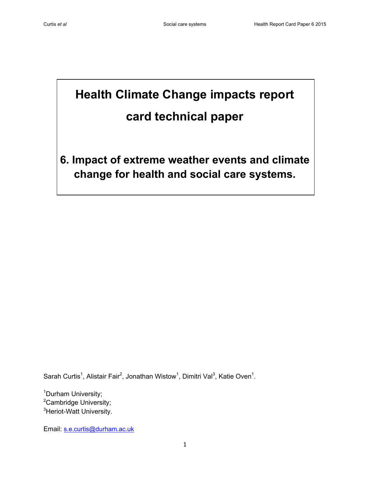# **Health Climate Change impacts report card technical paper**

**6. Impact of extreme weather events and climate change for health and social care systems.**

Sarah Curtis<sup>1</sup>, Alistair Fair<sup>2</sup>, Jonathan Wistow<sup>1</sup>, Dimitri Val<sup>3</sup>, Katie Oven<sup>1</sup>.

<sup>1</sup>Durham University; <sup>2</sup>Cambridge University; <sup>3</sup>Heriot-Watt University.

Email: [s.e.curtis@durham.ac.uk](mailto:s.e.curtis@durham.ac.uk)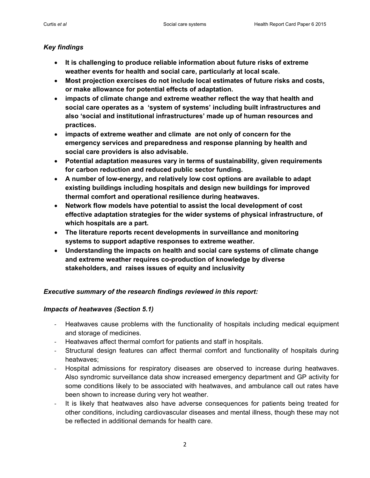# *Key findings*

- **It is challenging to produce reliable information about future risks of extreme weather events for health and social care, particularly at local scale.**
- **Most projection exercises do not include local estimates of future risks and costs, or make allowance for potential effects of adaptation.**
- **impacts of climate change and extreme weather reflect the way that health and social care operates as a 'system of systems' including built infrastructures and also 'social and institutional infrastructures' made up of human resources and practices.**
- **impacts of extreme weather and climate are not only of concern for the emergency services and preparedness and response planning by health and social care providers is also advisable.**
- **Potential adaptation measures vary in terms of sustainability, given requirements for carbon reduction and reduced public sector funding.**
- **A number of low-energy, and relatively low cost options are available to adapt existing buildings including hospitals and design new buildings for improved thermal comfort and operational resilience during heatwaves.**
- **Network flow models have potential to assist the local development of cost effective adaptation strategies for the wider systems of physical infrastructure, of which hospitals are a part.**
- **The literature reports recent developments in surveillance and monitoring systems to support adaptive responses to extreme weather.**
- **Understanding the impacts on health and social care systems of climate change and extreme weather requires co-production of knowledge by diverse stakeholders, and raises issues of equity and inclusivity**

# *Executive summary of the research findings reviewed in this report:*

#### *Impacts of heatwaves (Section 5.1)*

- Heatwaves cause problems with the functionality of hospitals including medical equipment and storage of medicines.
- Heatwaves affect thermal comfort for patients and staff in hospitals.
- Structural design features can affect thermal comfort and functionality of hospitals during heatwaves;
- Hospital admissions for respiratory diseases are observed to increase during heatwaves. Also syndromic surveillance data show increased emergency department and GP activity for some conditions likely to be associated with heatwaves, and ambulance call out rates have been shown to increase during very hot weather.
- It is likely that heatwaves also have adverse consequences for patients being treated for other conditions, including cardiovascular diseases and mental illness, though these may not be reflected in additional demands for health care.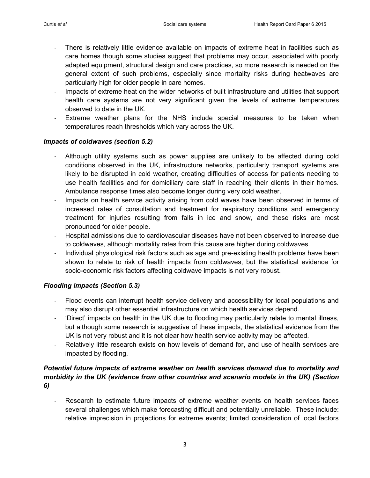- There is relatively little evidence available on impacts of extreme heat in facilities such as care homes though some studies suggest that problems may occur, associated with poorly adapted equipment, structural design and care practices, so more research is needed on the general extent of such problems, especially since mortality risks during heatwaves are particularly high for older people in care homes.
- Impacts of extreme heat on the wider networks of built infrastructure and utilities that support health care systems are not very significant given the levels of extreme temperatures observed to date in the UK.
- Extreme weather plans for the NHS include special measures to be taken when temperatures reach thresholds which vary across the UK.

## *Impacts of coldwaves (section 5.2)*

- Although utility systems such as power supplies are unlikely to be affected during cold conditions observed in the UK, infrastructure networks, particularly transport systems are likely to be disrupted in cold weather, creating difficulties of access for patients needing to use health facilities and for domiciliary care staff in reaching their clients in their homes. Ambulance response times also become longer during very cold weather.
- Impacts on health service activity arising from cold waves have been observed in terms of increased rates of consultation and treatment for respiratory conditions and emergency treatment for injuries resulting from falls in ice and snow, and these risks are most pronounced for older people.
- Hospital admissions due to cardiovascular diseases have not been observed to increase due to coldwaves, although mortality rates from this cause are higher during coldwaves.
- Individual physiological risk factors such as age and pre-existing health problems have been shown to relate to risk of health impacts from coldwaves, but the statistical evidence for socio-economic risk factors affecting coldwave impacts is not very robust.

# *Flooding impacts (Section 5.3)*

- Flood events can interrupt health service delivery and accessibility for local populations and may also disrupt other essential infrastructure on which health services depend.
- 'Direct' impacts on health in the UK due to flooding may particularly relate to mental illness, but although some research is suggestive of these impacts, the statistical evidence from the UK is not very robust and it is not clear how health service activity may be affected.
- Relatively little research exists on how levels of demand for, and use of health services are impacted by flooding.

# *Potential future impacts of extreme weather on health services demand due to mortality and morbidity in the UK (evidence from other countries and scenario models in the UK) (Section 6)*

Research to estimate future impacts of extreme weather events on health services faces several challenges which make forecasting difficult and potentially unreliable. These include: relative imprecision in projections for extreme events; limited consideration of local factors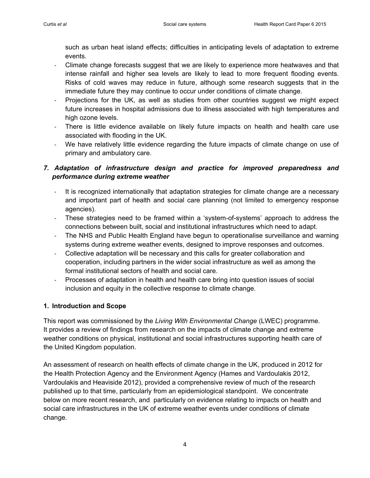such as urban heat island effects; difficulties in anticipating levels of adaptation to extreme events.

- Climate change forecasts suggest that we are likely to experience more heatwaves and that intense rainfall and higher sea levels are likely to lead to more frequent flooding events. Risks of cold waves may reduce in future, although some research suggests that in the immediate future they may continue to occur under conditions of climate change.
- Projections for the UK, as well as studies from other countries suggest we might expect future increases in hospital admissions due to illness associated with high temperatures and high ozone levels.
- There is little evidence available on likely future impacts on health and health care use associated with flooding in the UK.
- We have relatively little evidence regarding the future impacts of climate change on use of primary and ambulatory care.

# *7. Adaptation of infrastructure design and practice for improved preparedness and performance during extreme weather*

- It is recognized internationally that adaptation strategies for climate change are a necessary and important part of health and social care planning (not limited to emergency response agencies).
- These strategies need to be framed within a 'system-of-systems' approach to address the connections between built, social and institutional infrastructures which need to adapt.
- The NHS and Public Health England have begun to operationalise surveillance and warning systems during extreme weather events, designed to improve responses and outcomes.
- Collective adaptation will be necessary and this calls for greater collaboration and cooperation, including partners in the wider social infrastructure as well as among the formal institutional sectors of health and social care.
- Processes of adaptation in health and health care bring into question issues of social inclusion and equity in the collective response to climate change.

# **1. Introduction and Scope**

This report was commissioned by the *Living With Environmental Change* (LWEC) programme. It provides a review of findings from research on the impacts of climate change and extreme weather conditions on physical, institutional and social infrastructures supporting health care of the United Kingdom population.

An assessment of research on health effects of climate change in the UK, produced in 2012 for the Health Protection Agency and the Environment Agency (Hames and Vardoulakis 2012, Vardoulakis and Heaviside 2012), provided a comprehensive review of much of the research published up to that time, particularly from an epidemiological standpoint. We concentrate below on more recent research, and particularly on evidence relating to impacts on health and social care infrastructures in the UK of extreme weather events under conditions of climate change.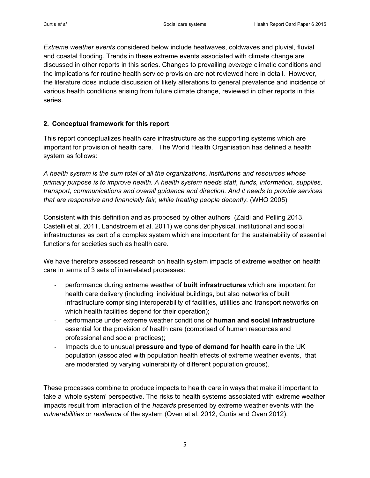*Extreme weather events* considered below include heatwaves, coldwaves and pluvial, fluvial and coastal flooding. Trends in these extreme events associated with climate change are discussed in other reports in this series. Changes to prevailing *average* climatic conditions and the implications for routine health service provision are not reviewed here in detail. However, the literature does include discussion of likely alterations to general prevalence and incidence of various health conditions arising from future climate change, reviewed in other reports in this series.

### **2. Conceptual framework for this report**

This report conceptualizes health care infrastructure as the supporting systems which are important for provision of health care. The World Health Organisation has defined a health system as follows:

*A health system is the sum total of all the organizations, institutions and resources whose primary purpose is to improve health. A health system needs staff, funds, information, supplies, transport, communications and overall guidance and direction. And it needs to provide services that are responsive and financially fair, while treating people decently.* (WHO 2005)

Consistent with this definition and as proposed by other authors (Zaidi and Pelling 2013, Castelli et al. 2011, Landstroem et al. 2011) we consider physical, institutional and social infrastructures as part of a complex system which are important for the sustainability of essential functions for societies such as health care.

We have therefore assessed research on health system impacts of extreme weather on health care in terms of 3 sets of interrelated processes:

- performance during extreme weather of **built infrastructures** which are important for health care delivery (including individual buildings, but also networks of built infrastructure comprising interoperability of facilities, utilities and transport networks on which health facilities depend for their operation);
- performance under extreme weather conditions of **human and social infrastructure** essential for the provision of health care (comprised of human resources and professional and social practices);
- Impacts due to unusual **pressure and type of demand for health care** in the UK population (associated with population health effects of extreme weather events, that are moderated by varying vulnerability of different population groups).

These processes combine to produce impacts to health care in ways that make it important to take a 'whole system' perspective. The risks to health systems associated with extreme weather impacts result from interaction of the *hazards* presented by extreme weather events with the *vulnerabilities* or *resilience* of the system (Oven et al. 2012, Curtis and Oven 2012).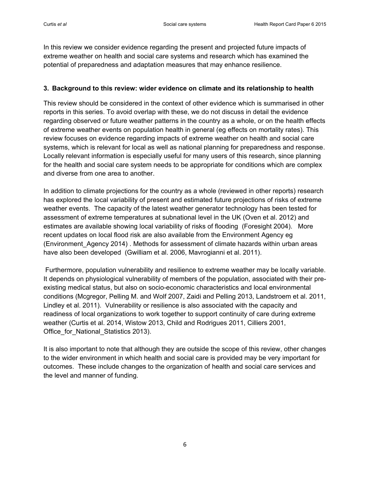In this review we consider evidence regarding the present and projected future impacts of extreme weather on health and social care systems and research which has examined the potential of preparedness and adaptation measures that may enhance resilience.

#### **3. Background to this review: wider evidence on climate and its relationship to health**

This review should be considered in the context of other evidence which is summarised in other reports in this series. To avoid overlap with these, we do not discuss in detail the evidence regarding observed or future weather patterns in the country as a whole, or on the health effects of extreme weather events on population health in general (eg effects on mortality rates). This review focuses on evidence regarding impacts of extreme weather on health and social care systems, which is relevant for local as well as national planning for preparedness and response. Locally relevant information is especially useful for many users of this research, since planning for the health and social care system needs to be appropriate for conditions which are complex and diverse from one area to another.

In addition to climate projections for the country as a whole (reviewed in other reports) research has explored the local variability of present and estimated future projections of risks of extreme weather events. The capacity of the latest weather generator technology has been tested for assessment of extreme temperatures at subnational level in the UK (Oven et al. 2012) and estimates are available showing local variability of risks of flooding (Foresight 2004). More recent updates on local flood risk are also available from the Environment Agency eg (Environment\_Agency 2014) . Methods for assessment of climate hazards within urban areas have also been developed (Gwilliam et al. 2006, Mavrogianni et al. 2011).

Furthermore, population vulnerability and resilience to extreme weather may be locally variable. It depends on physiological vulnerability of members of the population, associated with their preexisting medical status, but also on socio-economic characteristics and local environmental conditions (Mcgregor, Pelling M. and Wolf 2007, Zaidi and Pelling 2013, Landstroem et al. 2011, Lindley et al. 2011). Vulnerability or resilience is also associated with the capacity and readiness of local organizations to work together to support continuity of care during extreme weather (Curtis et al. 2014, Wistow 2013, Child and Rodrigues 2011, Cilliers 2001, Office\_for\_National\_Statistics 2013).

It is also important to note that although they are outside the scope of this review, other changes to the wider environment in which health and social care is provided may be very important for outcomes. These include changes to the organization of health and social care services and the level and manner of funding.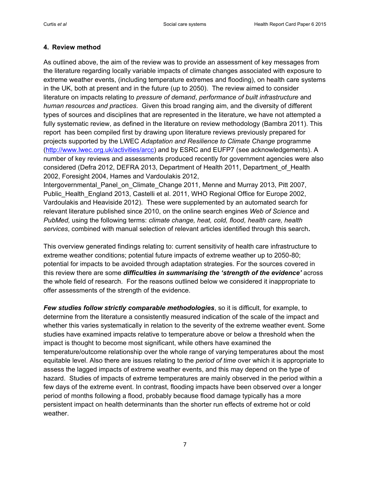#### **4. Review method**

As outlined above, the aim of the review was to provide an assessment of key messages from the literature regarding locally variable impacts of climate changes associated with exposure to extreme weather events, (including temperature extremes and flooding), on health care systems in the UK, both at present and in the future (up to 2050). The review aimed to consider literature on impacts relating to *pressure of demand*, *performance of built infrastructure* and *human resources and practices*. Given this broad ranging aim, and the diversity of different types of sources and disciplines that are represented in the literature, we have not attempted a fully systematic review, as defined in the literature on review methodology (Bambra 2011). This report has been compiled first by drawing upon literature reviews previously prepared for projects supported by the LWEC *Adaptation and Resilience to Climate Change* programme [\(http://www.lwec.org.uk/activities/arcc\)](http://www.lwec.org.uk/activities/arcc) and by ESRC and EUFP7 (see acknowledgements). A number of key reviews and assessments produced recently for government agencies were also considered (Defra 2012, DEFRA 2013, Department of Health 2011, Department\_of\_Health 2002, Foresight 2004, Hames and Vardoulakis 2012,

Intergovernmental\_Panel\_on\_Climate\_Change 2011, Menne and Murray 2013, Pitt 2007, Public\_Health\_England 2013, Castelli et al. 2011, WHO Regional Office for Europe 2002, Vardoulakis and Heaviside 2012). These were supplemented by an automated search for relevant literature published since 2010, on the online search engines *Web of Science* and *PubMed,* using the following terms: *climate change, heat, cold, flood, health care, health services*, combined with manual selection of relevant articles identified through this search**.** 

This overview generated findings relating to: current sensitivity of health care infrastructure to extreme weather conditions; potential future impacts of extreme weather up to 2050-80; potential for impacts to be avoided through adaptation strategies. For the sources covered in this review there are some *difficulties in summarising the 'strength of the evidence'* across the whole field of research. For the reasons outlined below we considered it inappropriate to offer assessments of the strength of the evidence.

*Few studies follow strictly comparable methodologies*, so it is difficult, for example, to determine from the literature a consistently measured indication of the scale of the impact and whether this varies systematically in relation to the severity of the extreme weather event. Some studies have examined impacts relative to temperature above or below a threshold when the impact is thought to become most significant, while others have examined the temperature/outcome relationship over the whole range of varying temperatures about the most equitable level. Also there are issues relating to the *period of time* over which it is appropriate to assess the lagged impacts of extreme weather events, and this may depend on the type of hazard. Studies of impacts of extreme temperatures are mainly observed in the period within a few days of the extreme event. In contrast, flooding impacts have been observed over a longer period of months following a flood, probably because flood damage typically has a more persistent impact on health determinants than the shorter run effects of extreme hot or cold weather.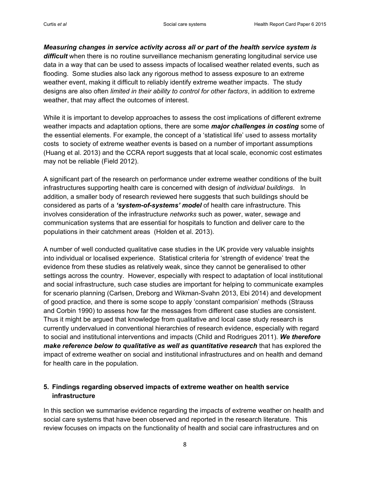*Measuring changes in service activity across all or part of the health service system is*  difficult when there is no routine surveillance mechanism generating longitudinal service use data in a way that can be used to assess impacts of localised weather related events, such as flooding. Some studies also lack any rigorous method to assess exposure to an extreme weather event, making it difficult to reliably identify extreme weather impacts. The study designs are also often *limited in their ability to control for other factors*, in addition to extreme weather, that may affect the outcomes of interest.

While it is important to develop approaches to assess the cost implications of different extreme weather impacts and adaptation options, there are some *major challenges in costing* some of the essential elements. For example, the concept of a 'statistical life' used to assess mortality costs to society of extreme weather events is based on a number of important assumptions (Huang et al. 2013) and the CCRA report suggests that at local scale, economic cost estimates may not be reliable (Field 2012).

A significant part of the research on performance under extreme weather conditions of the built infrastructures supporting health care is concerned with design of *individual buildings*. In addition, a smaller body of research reviewed here suggests that such buildings should be considered as parts of a *'system-of-systems' model* of health care infrastructure. This involves consideration of the infrastructure *networks* such as power, water, sewage and communication systems that are essential for hospitals to function and deliver care to the populations in their catchment areas (Holden et al. 2013).

A number of well conducted qualitative case studies in the UK provide very valuable insights into individual or localised experience. Statistical criteria for 'strength of evidence' treat the evidence from these studies as relatively weak, since they cannot be generalised to other settings across the country. However, especially with respect to adaptation of local institutional and social infrastructure, such case studies are important for helping to communicate examples for scenario planning (Carlsen, Dreborg and Wikman-Svahn 2013, Ebi 2014) and development of good practice, and there is some scope to apply 'constant comparision' methods (Strauss and Corbin 1990) to assess how far the messages from different case studies are consistent. Thus it might be argued that knowledge from qualitative and local case study research is currently undervalued in conventional hierarchies of research evidence, especially with regard to social and institutional interventions and impacts (Child and Rodrigues 2011). *We therefore make reference below to qualitative as well as quantitative research* that has explored the impact of extreme weather on social and institutional infrastructures and on health and demand for health care in the population.

## **5. Findings regarding observed impacts of extreme weather on health service infrastructure**

In this section we summarise evidence regarding the impacts of extreme weather on health and social care systems that have been observed and reported in the research literature. This review focuses on impacts on the functionality of health and social care infrastructures and on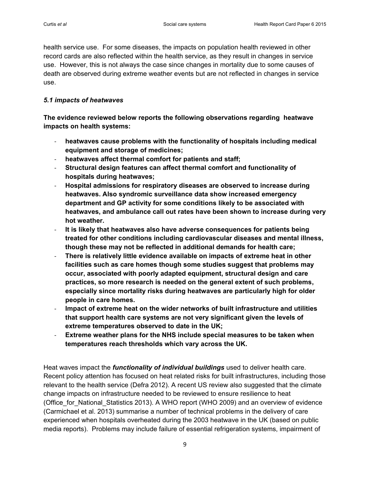health service use. For some diseases, the impacts on population health reviewed in other record cards are also reflected within the health service, as they result in changes in service use. However, this is not always the case since changes in mortality due to some causes of death are observed during extreme weather events but are not reflected in changes in service use.

#### *5.1 impacts of heatwaves*

**The evidence reviewed below reports the following observations regarding heatwave impacts on health systems:**

- **heatwaves cause problems with the functionality of hospitals including medical equipment and storage of medicines;**
- heatwaves affect thermal comfort for patients and staff;
- **Structural design features can affect thermal comfort and functionality of hospitals during heatwaves;**
- **Hospital admissions for respiratory diseases are observed to increase during heatwaves. Also syndromic surveillance data show increased emergency department and GP activity for some conditions likely to be associated with heatwaves, and ambulance call out rates have been shown to increase during very hot weather.**
- **It is likely that heatwaves also have adverse consequences for patients being treated for other conditions including cardiovascular diseases and mental illness, though these may not be reflected in additional demands for health care;**
- **There is relatively little evidence available on impacts of extreme heat in other facilities such as care homes though some studies suggest that problems may occur, associated with poorly adapted equipment, structural design and care practices, so more research is needed on the general extent of such problems, especially since mortality risks during heatwaves are particularly high for older people in care homes.**
- **Impact of extreme heat on the wider networks of built infrastructure and utilities that support health care systems are not very significant given the levels of extreme temperatures observed to date in the UK;**
- **Extreme weather plans for the NHS include special measures to be taken when temperatures reach thresholds which vary across the UK.**

Heat waves impact the *functionality of individual buildings* used to deliver health care. Recent policy attention has focused on heat related risks for built infrastructures, including those relevant to the health service (Defra 2012). A recent US review also suggested that the climate change impacts on infrastructure needed to be reviewed to ensure resilience to heat (Office for National Statistics 2013). A WHO report (WHO 2009) and an overview of evidence (Carmichael et al. 2013) summarise a number of technical problems in the delivery of care experienced when hospitals overheated during the 2003 heatwave in the UK (based on public media reports). Problems may include failure of essential refrigeration systems, impairment of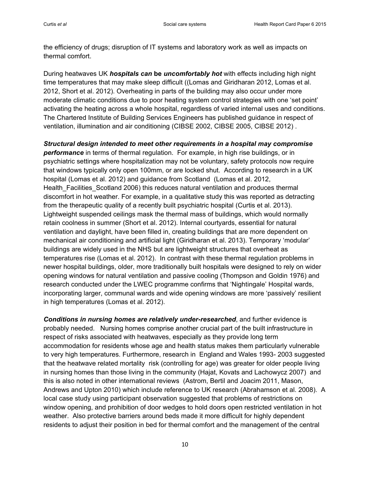the efficiency of drugs; disruption of IT systems and laboratory work as well as impacts on thermal comfort.

During heatwaves UK *hospitals can* **be** *uncomfortably hot* with effects including high night time temperatures that may make sleep difficult ((Lomas and Giridharan 2012, Lomas et al. 2012, Short et al. 2012). Overheating in parts of the building may also occur under more moderate climatic conditions due to poor heating system control strategies with one 'set point' activating the heating across a whole hospital, regardless of varied internal uses and conditions. The Chartered Institute of Building Services Engineers has published guidance in respect of ventilation, illumination and air conditioning (CIBSE 2002, CIBSE 2005, CIBSE 2012) .

*Structural design intended to meet other requirements in a hospital may compromise performance* in terms of thermal regulation. For example, in high rise buildings, or in psychiatric settings where hospitalization may not be voluntary, safety protocols now require that windows typically only open 100mm, or are locked shut. According to research in a UK hospital (Lomas et al. 2012) and guidance from Scotland (Lomas et al. 2012, Health Facilities Scotland 2006) this reduces natural ventilation and produces thermal discomfort in hot weather. For example, in a qualitative study this was reported as detracting from the therapeutic quality of a recently built psychiatric hospital (Curtis et al. 2013). Lightweight suspended ceilings mask the thermal mass of buildings, which would normally retain coolness in summer (Short et al. 2012). Internal courtyards, essential for natural ventilation and daylight, have been filled in, creating buildings that are more dependent on mechanical air conditioning and artificial light (Giridharan et al. 2013). Temporary 'modular' buildings are widely used in the NHS but are lightweight structures that overheat as temperatures rise (Lomas et al. 2012). In contrast with these thermal regulation problems in newer hospital buildings, older, more traditionally built hospitals were designed to rely on wider opening windows for natural ventilation and passive cooling (Thompson and Goldin 1976) and research conducted under the LWEC programme confirms that 'Nightingale' Hospital wards, incorporating larger, communal wards and wide opening windows are more 'passively' resilient in high temperatures (Lomas et al. 2012).

*Conditions in nursing homes are relatively under-researched*, and further evidence is probably needed. Nursing homes comprise another crucial part of the built infrastructure in respect of risks associated with heatwaves, especially as they provide long term accommodation for residents whose age and health status makes them particularly vulnerable to very high temperatures. Furthermore, research in England and Wales 1993- 2003 suggested that the heatwave related mortality risk (controlling for age) was greater for older people living in nursing homes than those living in the community (Hajat, Kovats and Lachowycz 2007) and this is also noted in other international reviews (Astrom, Bertil and Joacim 2011, Mason, Andrews and Upton 2010) which include reference to UK research [\(Abrahamson et al. 2008\)](#page-25-0). A local case study using participant observation suggested that problems of restrictions on window opening, and prohibition of door wedges to hold doors open restricted ventilation in hot weather. Also protective barriers around beds made it more difficult for highly dependent residents to adjust their position in bed for thermal comfort and the management of the central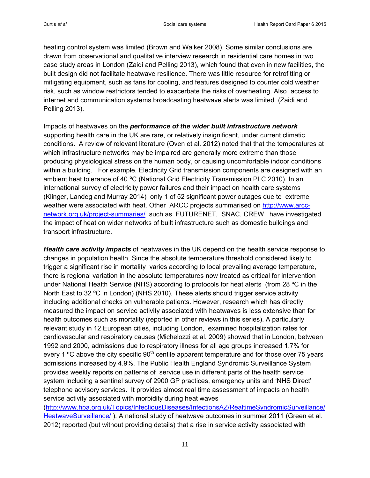heating control system was limited (Brown and Walker 2008). Some similar conclusions are drawn from observational and qualitative interview research in residential care homes in two case study areas in London (Zaidi and Pelling 2013), which found that even in new facilities, the built design did not facilitate heatwave resilience. There was little resource for retrofitting or mitigating equipment, such as fans for cooling, and features designed to counter cold weather risk, such as window restrictors tended to exacerbate the risks of overheating. Also access to internet and communication systems broadcasting heatwave alerts was limited (Zaidi and Pelling 2013).

Impacts of heatwaves on the *performance of the wider built infrastructure network* supporting health care in the UK are rare, or relatively insignificant, under current climatic conditions. A review of relevant literature (Oven et al. 2012) noted that that the temperatures at which infrastructure networks may be impaired are generally more extreme than those producing physiological stress on the human body, or causing uncomfortable indoor conditions within a building. For example, Electricity Grid transmission components are designed with an ambient heat tolerance of 40 ºC (National Grid Electricity Transmission PLC 2010). In an international survey of electricity power failures and their impact on health care systems (Klinger, Landeg and Murray 2014) only 1 of 52 significant power outages due to extreme weather were associated with heat. Other ARCC projects summarised on [http://www.arcc](http://www.arcc-network.org.uk/project-summaries/)[network.org.uk/project-summaries/](http://www.arcc-network.org.uk/project-summaries/) such as FUTURENET, SNAC, CREW have investigated the impact of heat on wider networks of built infrastructure such as domestic buildings and transport infrastructure.

*Health care activity impacts* of heatwaves in the UK depend on the health service response to changes in population health*.* Since the absolute temperature threshold considered likely to trigger a significant rise in mortality varies according to local prevailing average temperature, there is regional variation in the absolute temperatures now treated as critical for intervention under National Health Service (NHS) according to protocols for heat alerts (from 28 ºC in the North East to 32 ºC in London) (NHS 2010). These alerts should trigger service activity including additional checks on vulnerable patients. However, research which has directly measured the impact on service activity associated with heatwaves is less extensive than for health outcomes such as mortality (reported in other reviews in this series). A particularly relevant study in 12 European cities, including London, examined hospitalization rates for cardiovascular and respiratory causes (Michelozzi et al. 2009) showed that in London, between 1992 and 2000, admissions due to respiratory illness for all age groups increased 1.7% for every 1  $\degree$ C above the city specific 90<sup>th</sup> centile apparent temperature and for those over 75 years admissions increased by 4.9%. The Public Health England Syndromic Surveillance System provides weekly reports on patterns of service use in different parts of the health service system including a sentinel survey of 2900 GP practices, emergency units and 'NHS Direct' telephone advisory services. It provides almost real time assessment of impacts on health service activity associated with morbidity during heat waves [\(http://www.hpa.org.uk/Topics/InfectiousDiseases/InfectionsAZ/RealtimeSyndromicSurveillance/](http://www.hpa.org.uk/Topics/InfectiousDiseases/InfectionsAZ/RealtimeSyndromicSurveillance/HeatwaveSurveillance/)

[HeatwaveSurveillance/](http://www.hpa.org.uk/Topics/InfectiousDiseases/InfectionsAZ/RealtimeSyndromicSurveillance/HeatwaveSurveillance/) ). A national study of heatwave outcomes in summer 2011 (Green et al. 2012) reported (but without providing details) that a rise in service activity associated with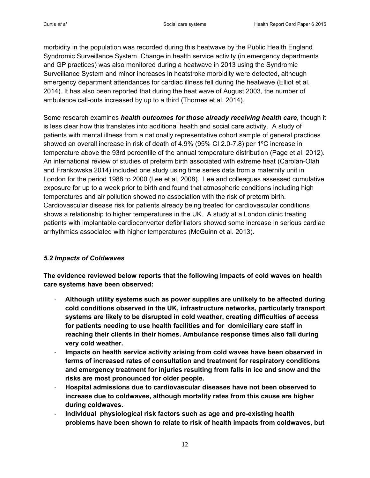morbidity in the population was recorded during this heatwave by the Public Health England Syndromic Surveillance System. Change in health service activity (in emergency departments and GP practices) was also monitored during a heatwave in 2013 using the Syndromic Surveillance System and minor increases in heatstroke morbidity were detected, although emergency department attendances for cardiac illness fell during the heatwave (Elliot et al. 2014). It has also been reported that during the heat wave of August 2003, the number of ambulance call-outs increased by up to a third (Thornes et al. 2014).

Some research examines *health outcomes for those already receiving health care*, though it is less clear how this translates into additional health and social care activity. A study of patients with mental illness from a nationally representative cohort sample of general practices showed an overall increase in risk of death of 4.9% (95% CI 2.0-7.8) per 1ºC increase in temperature above the 93rd percentile of the annual temperature distribution (Page et al. 2012). An international review of studies of preterm birth associated with extreme heat (Carolan-Olah and Frankowska 2014) included one study using time series data from a maternity unit in London for the period 1988 to 2000 (Lee et al. 2008). Lee and colleagues assessed cumulative exposure for up to a week prior to birth and found that atmospheric conditions including high temperatures and air pollution showed no association with the risk of preterm birth. Cardiovascular disease risk for patients already being treated for cardiovascular conditions shows a relationship to higher temperatures in the UK. A study at a London clinic treating patients with implantable cardioconverter defibrillators showed some increase in serious cardiac arrhythmias associated with higher temperatures (McGuinn et al. 2013).

#### *5.2 Impacts of Coldwaves*

**The evidence reviewed below reports that the following impacts of cold waves on health care systems have been observed:** 

- **Although utility systems such as power supplies are unlikely to be affected during cold conditions observed in the UK, infrastructure networks, particularly transport systems are likely to be disrupted in cold weather, creating difficulties of access for patients needing to use health facilities and for domiciliary care staff in reaching their clients in their homes. Ambulance response times also fall during very cold weather.**
- **Impacts on health service activity arising from cold waves have been observed in terms of increased rates of consultation and treatment for respiratory conditions and emergency treatment for injuries resulting from falls in ice and snow and the risks are most pronounced for older people.**
- **Hospital admissions due to cardiovascular diseases have not been observed to increase due to coldwaves, although mortality rates from this cause are higher during coldwaves.**
- **Individual physiological risk factors such as age and pre-existing health problems have been shown to relate to risk of health impacts from coldwaves, but**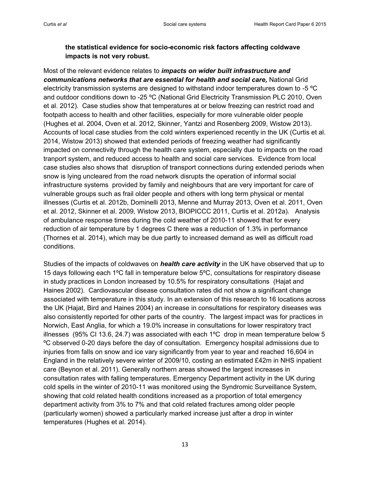# **the statistical evidence for socio-economic risk factors affecting coldwave impacts is not very robust.**

Most of the relevant evidence relates to *impacts on wider built infrastructure and communications networks that are essential for health and social care,* National Grid electricity transmission systems are designed to withstand indoor temperatures down to -5 ºC and outdoor conditions down to -25 ºC (National Grid Electricity Transmission PLC 2010, Oven et al. 2012). Case studies show that temperatures at or below freezing can restrict road and footpath access to health and other facilities, especially for more vulnerable older people (Hughes et al. 2004, Oven et al. 2012, Skinner, Yantzi and Rosenberg 2009, Wistow 2013). Accounts of local case studies from the cold winters experienced recently in the UK (Curtis et al. 2014, Wistow 2013) showed that extended periods of freezing weather had significantly impacted on connectivity through the health care system, especially due to impacts on the road tranport system, and reduced access to health and social care services. Evidence from local case studies also shows that disruption of transport connections during extended periods when snow is lying uncleared from the road network disrupts the operation of informal social infrastructure systems provided by family and neighbours that are very important for care of vulnerable groups such as frail older people and others with long term physical or mental illnesses (Curtis et al. 2012b, Dominelli 2013, Menne and Murray 2013, Oven et al. 2011, Oven et al. 2012, Skinner et al. 2009, Wistow 2013, BIOPICCC 2011, Curtis et al. 2012a). Analysis of ambulance response times during the cold weather of 2010-11 showed that for every reduction of air temperature by 1 degrees C there was a reduction of 1.3% in performance (Thornes et al. 2014), which may be due partly to increased demand as well as difficult road conditions.

Studies of the impacts of coldwaves on *health care activity* in the UK have observed that up to 15 days following each 1ºC fall in temperature below 5ºC, consultations for respiratory disease in study practices in London increased by 10.5% for respiratory consultations (Hajat and Haines 2002). Cardiovascular disease consultation rates did not show a significant change associated with temperature in this study. In an extension of this research to 16 locations across the UK (Hajat, Bird and Haines 2004) an increase in consultations for respiratory diseases was also consistently reported for other parts of the country. The largest impact was for practices in Norwich, East Anglia, for which a 19.0% increase in consultations for lower respiratory tract illnesses (95% CI 13.6, 24.7) was associated with each 1ºC drop in mean temperature below 5 ºC observed 0-20 days before the day of consultation. Emergency hospital admissions due to injuries from falls on snow and ice vary significantly from year to year and reached 16,604 in England in the relatively severe winter of 2009/10, costing an estimated £42m in NHS inpatient care (Beynon et al. 2011). Generally northern areas showed the largest increases in consultation rates with falling temperatures. Emergency Department activity in the UK during cold spells in the winter of 2010-11 was monitored using the Syndromic Surveillance System, showing that cold related health conditions increased as a proportion of total emergency department activity from 3% to 7% and that cold related fractures among older people (particularly women) showed a particularly marked increase just after a drop in winter temperatures (Hughes et al. 2014).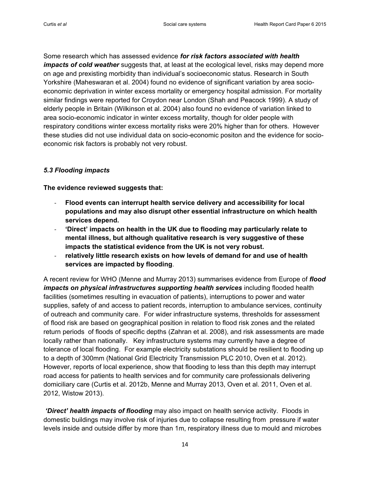Some research which has assessed evidence *for risk factors associated with health impacts of cold weather* suggests that, at least at the ecological level, risks may depend more on age and prexisting morbidity than individual's socioeconomic status. Research in South Yorkshire (Maheswaran et al. 2004) found no evidence of significant variation by area socioeconomic deprivation in winter excess mortality or emergency hospital admission. For mortality similar findings were reported for Croydon near London (Shah and Peacock 1999). A study of elderly people in Britain (Wilkinson et al. 2004) also found no evidence of variation linked to area socio-economic indicator in winter excess mortality, though for older people with respiratory conditions winter excess mortality risks were 20% higher than for others. However these studies did not use individual data on socio-economic positon and the evidence for socioeconomic risk factors is probably not very robust.

#### *5.3 Flooding impacts*

**The evidence reviewed suggests that:**

- **Flood events can interrupt health service delivery and accessibility for local populations and may also disrupt other essential infrastructure on which health services depend.**
- **'Direct' impacts on health in the UK due to flooding may particularly relate to mental illness, but although qualitative research is very suggestive of these impacts the statistical evidence from the UK is not very robust.**
- relatively little research exists on how levels of demand for and use of health **services are impacted by flooding**.

A recent review for WHO (Menne and Murray 2013) summarises evidence from Europe of *flood impacts on physical infrastructures supporting health services* including flooded health facilities (sometimes resulting in evacuation of patients), interruptions to power and water supplies, safety of and access to patient records, interruption to ambulance services, continuity of outreach and community care. For wider infrastructure systems, thresholds for assessment of flood risk are based on geographical position in relation to flood risk zones and the related return periods of floods of specific depths (Zahran et al. 2008), and risk assessments are made locally rather than nationally. Key infrastructure systems may currently have a degree of tolerance of local flooding. For example electricity substations should be resilient to flooding up to a depth of 300mm (National Grid Electricity Transmission PLC 2010, Oven et al. 2012). However, reports of local experience, show that flooding to less than this depth may interrupt road access for patients to health services and for community care professionals delivering domiciliary care (Curtis et al. 2012b, Menne and Murray 2013, Oven et al. 2011, Oven et al. 2012, Wistow 2013).

*'Direct' health impacts of flooding* may also impact on health service activity. Floods in domestic buildings may involve risk of injuries due to collapse resulting from pressure if water levels inside and outside differ by more than 1m, respiratory illness due to mould and microbes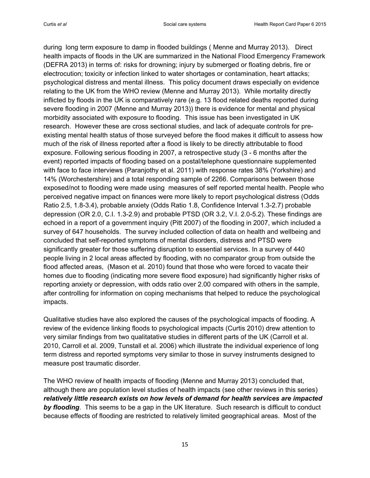during long term exposure to damp in flooded buildings ( Menne and Murray 2013). Direct health impacts of floods in the UK are summarized in the National Flood Emergency Framework (DEFRA 2013) in terms of: risks for drowning; injury by submerged or floating debris, fire or electrocution; toxicity or infection linked to water shortages or contamination, heart attacks; psychological distress and mental illness. This policy document draws especially on evidence relating to the UK from the WHO review (Menne and Murray 2013). While mortality directly inflicted by floods in the UK is comparatively rare (e.g. 13 flood related deaths reported during severe flooding in 2007 (Menne and Murray 2013)) there is evidence for mental and physical morbidity associated with exposure to flooding. This issue has been investigated in UK research. However these are cross sectional studies, and lack of adequate controls for preexisting mental health status of those surveyed before the flood makes it difficult to assess how much of the risk of illness reported after a flood is likely to be directly attributable to flood exposure. Following serious flooding in 2007, a retrospective study (3 - 6 months after the event) reported impacts of flooding based on a postal/telephone questionnaire supplemented with face to face interviews (Paranjothy et al. 2011) with response rates 38% (Yorkshire) and 14% (Worchestershire) and a total responding sample of 2266. Comparisons between those exposed/not to flooding were made using measures of self reported mental health. People who perceived negative impact on finances were more likely to report psychological distress (Odds Ratio 2.5, 1.8-3.4), probable anxiety (Odds Ratio 1.8, Confidence Interval 1.3-2.7) probable depression (OR 2.0, C.I. 1.3-2.9) and probable PTSD (OR 3.2, V.I. 2.0-5.2). These findings are echoed in a report of a government inquiry (Pitt 2007) of the flooding in 2007, which included a survey of 647 households. The survey included collection of data on health and wellbeing and concluded that self-reported symptoms of mental disorders, distress and PTSD were significantly greater for those suffering disruption to essential services. In a survey of 440 people living in 2 local areas affected by flooding, with no comparator group from outside the flood affected areas, (Mason et al. 2010) found that those who were forced to vacate their homes due to flooding (indicating more severe flood exposure) had significantly higher risks of reporting anxiety or depression, with odds ratio over 2.00 compared with others in the sample, after controlling for information on coping mechanisms that helped to reduce the psychological impacts.

Qualitative studies have also explored the causes of the psychological impacts of flooding. A review of the evidence linking floods to psychological impacts (Curtis 2010) drew attention to very similar findings from two qualitatative studies in different parts of the UK (Carroll et al. 2010, Carroll et al. 2009, Tunstall et al. 2006) which illustrate the individual experience of long term distress and reported symptoms very similar to those in survey instruments designed to measure post traumatic disorder.

The WHO review of health impacts of flooding (Menne and Murray 2013) concluded that, although there are population level studies of health impacts (see other reviews in this series) *relatively little research exists on how levels of demand for health services are impacted by flooding*. This seems to be a gap in the UK literature. Such research is difficult to conduct because effects of flooding are restricted to relatively limited geographical areas. Most of the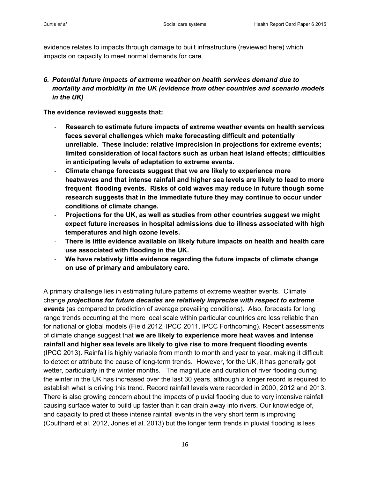evidence relates to impacts through damage to built infrastructure (reviewed here) which impacts on capacity to meet normal demands for care.

*6. Potential future impacts of extreme weather on health services demand due to mortality and morbidity in the UK (evidence from other countries and scenario models in the UK)*

**The evidence reviewed suggests that:**

- **Research to estimate future impacts of extreme weather events on health services faces several challenges which make forecasting difficult and potentially unreliable. These include: relative imprecision in projections for extreme events; limited consideration of local factors such as urban heat island effects; difficulties in anticipating levels of adaptation to extreme events.**
- **Climate change forecasts suggest that we are likely to experience more heatwaves and that intense rainfall and higher sea levels are likely to lead to more frequent flooding events. Risks of cold waves may reduce in future though some research suggests that in the immediate future they may continue to occur under conditions of climate change.**
- **Projections for the UK, as well as studies from other countries suggest we might expect future increases in hospital admissions due to illness associated with high temperatures and high ozone levels.**
- **There is little evidence available on likely future impacts on health and health care use associated with flooding in the UK.**
- **We have relatively little evidence regarding the future impacts of climate change on use of primary and ambulatory care.**

A primary challenge lies in estimating future patterns of extreme weather events. Climate change *projections for future decades are relatively imprecise with respect to extreme events* (as compared to prediction of average prevailing conditions). Also, forecasts for long range trends occurring at the more local scale within particular countries are less reliable than for national or global models (Field 2012, IPCC 2011, IPCC Forthcoming). Recent assessments of climate change suggest that **we are likely to experience more heat waves and intense rainfall and higher sea levels are likely to give rise to more frequent flooding events** (IPCC 2013). Rainfall is highly variable from month to month and year to year, making it difficult to detect or attribute the cause of long-term trends. However, for the UK, it has generally got wetter, particularly in the winter months. The magnitude and duration of river flooding during the winter in the UK has increased over the last 30 years, although a longer record is required to establish what is driving this trend. Record rainfall levels were recorded in 2000, 2012 and 2013. There is also growing concern about the impacts of pluvial flooding due to very intensive rainfall causing surface water to build up faster than it can drain away into rivers. Our knowledge of, and capacity to predict these intense rainfall events in the very short term is improving (Coulthard et al. 2012, Jones et al. 2013) but the longer term trends in pluvial flooding is less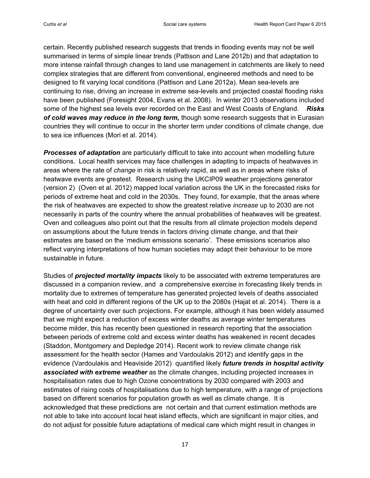certain. Recently published research suggests that trends in flooding events may not be well summarised in terms of simple linear trends (Pattison and Lane 2012b) and that adaptation to more intense rainfall through changes to land use management in catchments are likely to need complex strategies that are different from conventional, engineered methods and need to be designed to fit varying local conditions (Pattison and Lane 2012a). Mean sea-levels are continuing to rise, driving an increase in extreme sea-levels and projected coastal flooding risks have been published (Foresight 2004, Evans et al. 2008). In winter 2013 observations included some of the highest sea levels ever recorded on the East and West Coasts of England. *Risks of cold waves may reduce in the long term,* though some research suggests that in Eurasian countries they will continue to occur in the shorter term under conditions of climate change, due to sea ice influences (Mori et al. 2014).

**Processes of adaptation** are particularly difficult to take into account when modelling future conditions. Local health services may face challenges in adapting to impacts of heatwaves in areas where the rate of *change* in risk is relatively rapid, as well as in areas where risks of heatwave events are greatest. Research using the UKCIP09 weather projections generator (version 2) (Oven et al. 2012) mapped local variation across the UK in the forecasted risks for periods of extreme heat and cold in the 2030s. They found, for example, that the areas where the risk of heatwaves are expected to show the greatest relative *increase* up to 2030 are not necessarily in parts of the country where the annual probabilities of heatwaves will be greatest. Oven and colleagues also point out that the results from all climate projection models depend on assumptions about the future trends in factors driving climate change, and that their estimates are based on the 'medium emissions scenario'. These emissions scenarios also reflect varying interpretations of how human societies may adapt their behaviour to be more sustainable in future.

Studies of *projected mortality impacts* likely to be associated with extreme temperatures are discussed in a companion review, and a comprehensive exercise in forecasting likely trends in mortality due to extremes of temperature has generated projected levels of deaths associated with heat and cold in different regions of the UK up to the 2080s (Hajat et al. 2014). There is a degree of uncertainty over such projections. For example, although it has been widely assumed that we might expect a reduction of excess winter deaths as average winter temperatures become milder, this has recently been questioned in research reporting that the association between periods of extreme cold and excess winter deaths has weakened in recent decades (Staddon, Montgomery and Depledge 2014). Recent work to review climate change risk assessment for the health sector (Hames and Vardoulakis 2012) and identify gaps in the evidence (Vardoulakis and Heaviside 2012) quantified likely *future trends in hospital activity associated with extreme weather* as the climate changes, including projected increases in hospitalisation rates due to high Ozone concentrations by 2030 compared with 2003 and estimates of rising costs of hospitalisations due to high temperature, with a range of projections based on different scenarios for population growth as well as climate change. It is acknowledged that these predictions are not certain and that current estimation methods are not able to take into account local heat island effects, which are significant in major cities, and do not adjust for possible future adaptations of medical care which might result in changes in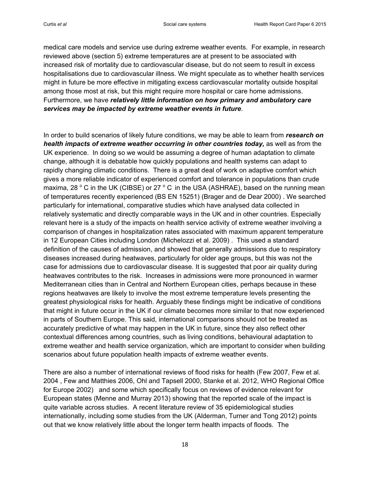medical care models and service use during extreme weather events. For example, in research reviewed above (section 5) extreme temperatures are at present to be associated with increased risk of mortality due to cardiovascular disease, but do not seem to result in excess hospitalisations due to cardiovascular illness. We might speculate as to whether health services might in future be more effective in mitigating excess cardiovascular mortality outside hospital among those most at risk, but this might require more hospital or care home admissions. Furthermore, we have *relatively little information on how primary and ambulatory care services may be impacted by extreme weather events in future*.

In order to build scenarios of likely future conditions, we may be able to learn from *research on health impacts of extreme weather occurring in other countries today,* as well as from the UK experience. In doing so we would be assuming a degree of human adaptation to climate change, although it is debatable how quickly populations and health systems can adapt to rapidly changing climatic conditions. There is a great deal of work on adaptive comfort which gives a more reliable indicator of experienced comfort and tolerance in populations than crude maxima, 28  $\degree$  C in the UK (CIBSE) or 27  $\degree$  C in the USA (ASHRAE), based on the running mean of temperatures recently experienced (BS EN 15251) (Brager and de Dear 2000) . We searched particularly for international, comparative studies which have analysed data collected in relatively systematic and directly comparable ways in the UK and in other countries. Especially relevant here is a study of the impacts on health service activity of extreme weather involving a comparison of changes in hospitalization rates associated with maximum apparent temperature in 12 European Cities including London (Michelozzi et al. 2009) . This used a standard definition of the causes of admission, and showed that generally admissions due to respiratory diseases increased during heatwaves, particularly for older age groups, but this was not the case for admissions due to cardiovascular disease. It is suggested that poor air quality during heatwaves contributes to the risk. Increases in admissions were more pronounced in warmer Mediterranean cities than in Central and Northern European cities, perhaps because in these regions heatwaves are likely to involve the most extreme temperature levels presenting the greatest physiological risks for health. Arguably these findings might be indicative of conditions that might in future occur in the UK if our climate becomes more similar to that now experienced in parts of Southern Europe. This said, international comparisons should not be treated as accurately predictive of what may happen in the UK in future, since they also reflect other contextual differences among countries, such as living conditions, behavioural adaptation to extreme weather and health service organization, which are important to consider when building scenarios about future population health impacts of extreme weather events.

There are also a number of international reviews of flood risks for health (Few 2007, Few et al. 2004 , Few and Matthies 2006, Ohl and Tapsell 2000, Stanke et al. 2012, WHO Regional Office for Europe 2002) and some which specifically focus on reviews of evidence relevant for European states (Menne and Murray 2013) showing that the reported scale of the impact is quite variable across studies. A recent literature review of 35 epidemiological studies internationally, including some studies from the UK (Alderman, Turner and Tong 2012) points out that we know relatively little about the longer term health impacts of floods. The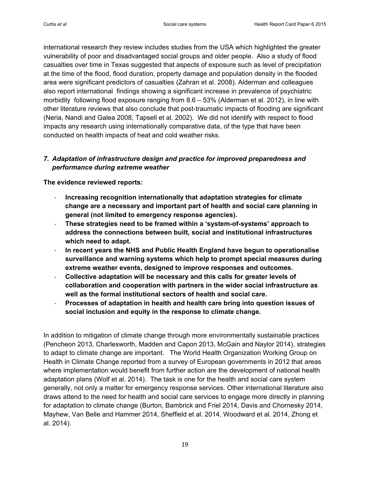international research they review includes studies from the USA which highlighted the greater vulnerability of poor and disadvantaged social groups and older people. Also a study of flood casualties over time in Texas suggested that aspects of exposure such as level of precipitation at the time of the flood, flood duration, property damage and population density in the flooded area were significant predictors of casualties (Zahran et al. 2008). Alderman and colleagues also report international findings showing a significant increase in prevalence of psychiatric morbidity following flood exposure ranging from 8.6 – 53% (Alderman et al. 2012), in line with other literature reviews that also conclude that post-traumatic impacts of flooding are significant (Neria, Nandi and Galea 2008, Tapsell et al. 2002). We did not identify with respect to flood impacts any research using internationally comparative data, of the type that have been conducted on health impacts of heat and cold weather risks.

# *7. Adaptation of infrastructure design and practice for improved preparedness and performance during extreme weather*

**The evidence reviewed reports:**

- **Increasing recognition internationally that adaptation strategies for climate change are a necessary and important part of health and social care planning in general (not limited to emergency response agencies).**
- **These strategies need to be framed within a 'system-of-systems' approach to address the connections between built, social and institutional infrastructures which need to adapt.**
- **In recent years the NHS and Public Health England have begun to operationalise surveillance and warning systems which help to prompt special measures during extreme weather events, designed to improve responses and outcomes.**
- **Collective adaptation will be necessary and this calls for greater levels of collaboration and cooperation with partners in the wider social infrastructure as well as the formal institutional sectors of health and social care.**
- **Processes of adaptation in health and health care bring into question issues of social inclusion and equity in the response to climate change.**

In addition to mitigation of climate change through more environmentally sustainable practices (Pencheon 2013, Charlesworth, Madden and Capon 2013, McGain and Naylor 2014), strategies to adapt to climate change are important. The World Health Organization Working Group on Health in Climate Change reported from a survey of European governments in 2012 that areas where implementation would benefit from further action are the development of national health adaptation plans (Wolf et al. 2014). The task is one for the health and social care system generally, not only a matter for emergency response services. Other international literature also draws attend to the need for health and social care services to engage more directly in planning for adaptation to climate change (Burton, Bambrick and Friel 2014, Davis and Chornesky 2014, Mayhew, Van Belle and Hammer 2014, Sheffield et al. 2014, Woodward et al. 2014, Zhong et al. 2014).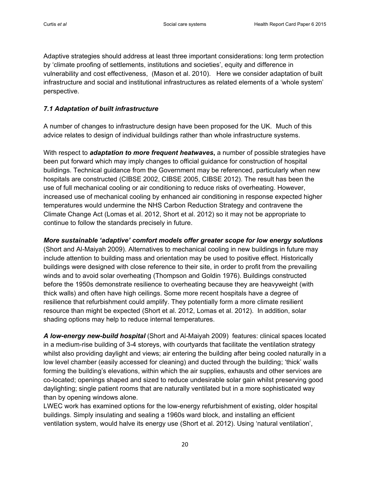Adaptive strategies should address at least three important considerations: long term protection by 'climate proofing of settlements, institutions and societies', equity and difference in vulnerability and cost effectiveness, (Mason et al. 2010). Here we consider adaptation of built infrastructure and social and institutional infrastructures as related elements of a 'whole system' perspective.

#### *7.1 Adaptation of built infrastructure*

A number of changes to infrastructure design have been proposed for the UK. Much of this advice relates to design of individual buildings rather than whole infrastructure systems.

With respect to *adaptation to more frequent heatwaves***,** a number of possible strategies have been put forward which may imply changes to official guidance for construction of hospital buildings. Technical guidance from the Government may be referenced, particularly when new hospitals are constructed (CIBSE 2002, CIBSE 2005, CIBSE 2012). The result has been the use of full mechanical cooling or air conditioning to reduce risks of overheating. However, increased use of mechanical cooling by enhanced air conditioning in response expected higher temperatures would undermine the NHS Carbon Reduction Strategy and contravene the Climate Change Act (Lomas et al. 2012, Short et al. 2012) so it may not be appropriate to continue to follow the standards precisely in future.

*More sustainable 'adaptive' comfort models offer greater scope for low energy solutions* (Short and Al-Maiyah 2009). Alternatives to mechanical cooling in new buildings in future may include attention to building mass and orientation may be used to positive effect. Historically buildings were designed with close reference to their site, in order to profit from the prevailing winds and to avoid solar overheating (Thompson and Goldin 1976). Buildings constructed before the 1950s demonstrate resilience to overheating because they are heavyweight (with thick walls) and often have high ceilings. Some more recent hospitals have a degree of resilience that refurbishment could amplify. They potentially form a more climate resilient resource than might be expected (Short et al. 2012, Lomas et al. 2012). In addition, solar shading options may help to reduce internal temperatures.

*A low-energy new-build hospital* (Short and Al-Maiyah 2009) features: clinical spaces located in a medium-rise building of 3-4 storeys, with courtyards that facilitate the ventilation strategy whilst also providing daylight and views; air entering the building after being cooled naturally in a low level chamber (easily accessed for cleaning) and ducted through the building; 'thick' walls forming the building's elevations, within which the air supplies, exhausts and other services are co-located; openings shaped and sized to reduce undesirable solar gain whilst preserving good daylighting; single patient rooms that are naturally ventilated but in a more sophisticated way than by opening windows alone.

LWEC work has examined options for the low-energy refurbishment of existing, older hospital buildings. Simply insulating and sealing a 1960s ward block, and installing an efficient ventilation system, would halve its energy use (Short et al. 2012). Using 'natural ventilation',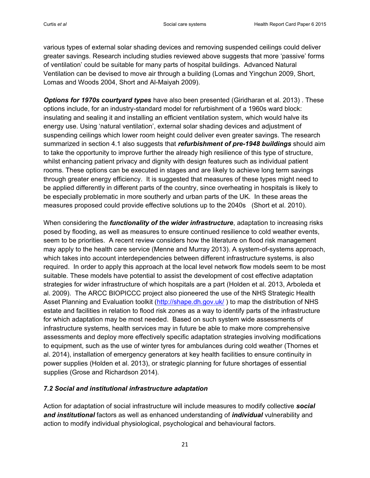various types of external solar shading devices and removing suspended ceilings could deliver greater savings. Research including studies reviewed above suggests that more 'passive' forms of ventilation' could be suitable for many parts of hospital buildings. Advanced Natural Ventilation can be devised to move air through a building (Lomas and Yingchun 2009, Short, Lomas and Woods 2004, Short and Al-Maiyah 2009).

*Options for 1970s courtyard types* have also been presented (Giridharan et al. 2013) . These options include, for an industry-standard model for refurbishment of a 1960s ward block: insulating and sealing it and installing an efficient ventilation system, which would halve its energy use. Using 'natural ventilation', external solar shading devices and adjustment of suspending ceilings which lower room height could deliver even greater savings. The research summarized in section 4.1 also suggests that *refurbishment of pre-1948 buildings* should aim to take the opportunity to improve further the already high resilience of this type of structure, whilst enhancing patient privacy and dignity with design features such as individual patient rooms. These options can be executed in stages and are likely to achieve long term savings through greater energy efficiency. It is suggested that measures of these types might need to be applied differently in different parts of the country, since overheating in hospitals is likely to be especially problematic in more southerly and urban parts of the UK. In these areas the measures proposed could provide effective solutions up to the 2040s (Short et al. 2010).

When considering the *functionality of the wider infrastructure*, adaptation to increasing risks posed by flooding, as well as measures to ensure continued resilience to cold weather events, seem to be priorities. A recent review considers how the literature on flood risk management may apply to the health care service (Menne and Murray 2013). A system-of-systems approach, which takes into account interdependencies between different infrastructure systems, is also required. In order to apply this approach at the local level network flow models seem to be most suitable. These models have potential to assist the development of cost effective adaptation strategies for wider infrastructure of which hospitals are a part (Holden et al. 2013, Arboleda et al. 2009). The ARCC BIOPICCC project also pioneered the use of the NHS Strategic Health Asset Planning and Evaluation toolkit [\(http://shape.dh.gov.uk/](http://shape.dh.gov.uk/)) to map the distribution of NHS estate and facilities in relation to flood risk zones as a way to identify parts of the infrastructure for which adaptation may be most needed. Based on such system wide assessments of infrastructure systems, health services may in future be able to make more comprehensive assessments and deploy more effectively specific adaptation strategies involving modifications to equipment, such as the use of winter tyres for ambulances during cold weather (Thornes et al. 2014), installation of emergency generators at key health facilities to ensure continuity in power supplies (Holden et al. 2013), or strategic planning for future shortages of essential supplies (Grose and Richardson 2014).

#### *7.2 Social and institutional infrastructure adaptation*

Action for adaptation of social infrastructure will include measures to modify collective *social and institutional* factors as well as enhanced understanding of *individual* vulnerability and action to modify individual physiological, psychological and behavioural factors.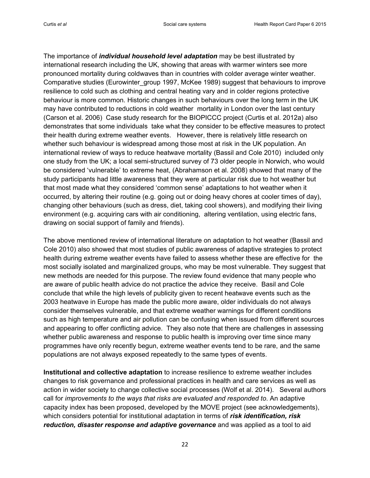The importance of *individual household level adaptation* may be best illustrated by international research including the UK, showing that areas with warmer winters see more pronounced mortality during coldwaves than in countries with colder average winter weather. Comparative studies (Eurowinter\_group 1997, McKee 1989) suggest that behaviours to improve resilience to cold such as clothing and central heating vary and in colder regions protective behaviour is more common. Historic changes in such behaviours over the long term in the UK may have contributed to reductions in cold weather mortality in London over the last century (Carson et al. 2006) Case study research for the BIOPICCC project (Curtis et al. 2012a) also demonstrates that some individuals take what they consider to be effective measures to protect their health during extreme weather events. However, there is relatively little research on whether such behaviour is widespread among those most at risk in the UK population. An international review of ways to reduce heatwave mortality (Bassil and Cole 2010) included only one study from the UK; a local semi-structured survey of 73 older people in Norwich, who would be considered 'vulnerable' to extreme heat, [\(Abrahamson et al. 2008\)](#page-25-0) showed that many of the study participants had little awareness that they were at particular risk due to hot weather but that most made what they considered 'common sense' adaptations to hot weather when it occurred, by altering their routine (e.g. going out or doing heavy chores at cooler times of day), changing other behaviours (such as dress, diet, taking cool showers), and modifying their living environment (e.g. acquiring cars with air conditioning, altering ventilation, using electric fans, drawing on social support of family and friends).

The above mentioned review of international literature on adaptation to hot weather (Bassil and Cole 2010) also showed that most studies of public awareness of adaptive strategies to protect health during extreme weather events have failed to assess whether these are effective for the most socially isolated and marginalized groups, who may be most vulnerable. They suggest that new methods are needed for this purpose. The review found evidence that many people who are aware of public health advice do not practice the advice they receive. Basil and Cole conclude that while the high levels of publicity given to recent heatwave events such as the 2003 heatwave in Europe has made the public more aware, older individuals do not always consider themselves vulnerable, and that extreme weather warnings for different conditions such as high temperature and air pollution can be confusing when issued from different sources and appearing to offer conflicting advice. They also note that there are challenges in assessing whether public awareness and response to public health is improving over time since many programmes have only recently begun, extreme weather events tend to be rare, and the same populations are not always exposed repeatedly to the same types of events.

**Institutional and collective adaptation** to increase resilience to extreme weather includes changes to risk governance and professional practices in health and care services as well as action in wider society to change collective social processes (Wolf et al. 2014). Several authors call for *improvements to the ways that risks are evaluated and responded to*. An adaptive capacity index has been proposed, developed by the MOVE project (see acknowledgements), which considers potential for institutional adaptation in terms of *risk identification, risk reduction, disaster response and adaptive governance* and was applied as a tool to aid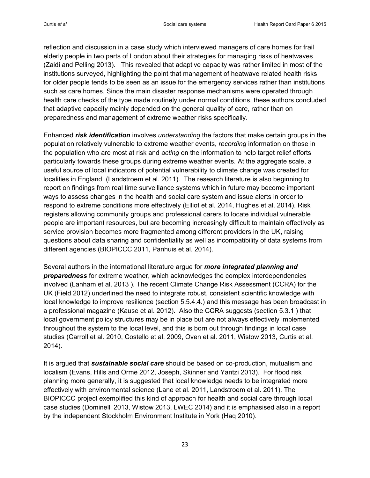reflection and discussion in a case study which interviewed managers of care homes for frail elderly people in two parts of London about their strategies for managing risks of heatwaves (Zaidi and Pelling 2013). This revealed that adaptive capacity was rather limited in most of the institutions surveyed, highlighting the point that management of heatwave related health risks for older people tends to be seen as an issue for the emergency services rather than institutions such as care homes. Since the main disaster response mechanisms were operated through health care checks of the type made routinely under normal conditions, these authors concluded that adaptive capacity mainly depended on the general quality of care, rather than on preparedness and management of extreme weather risks specifically.

Enhanced *risk identification* involves *understanding* the factors that make certain groups in the population relatively vulnerable to extreme weather events, *recording* information on those in the population who are most at risk and *acting* on the information to help target relief efforts particularly towards these groups during extreme weather events. At the aggregate scale, a useful source of local indicators of potential vulnerability to climate change was created for localities in England (Landstroem et al. 2011). The research literature is also beginning to report on findings from real time surveillance systems which in future may become important ways to assess changes in the health and social care system and issue alerts in order to respond to extreme conditions more effectively (Elliot et al. 2014, Hughes et al. 2014). Risk registers allowing community groups and professional carers to locate individual vulnerable people are important resources, but are becoming increasingly difficult to maintain effectively as service provision becomes more fragmented among different providers in the UK, raising questions about data sharing and confidentiality as well as incompatibility of data systems from different agencies (BIOPICCC 2011, Panhuis et al. 2014).

Several authors in the international literature argue for *more integrated planning and preparedness* for extreme weather, which acknowledges the complex interdependencies involved (Lanham et al. 2013 ). The recent Climate Change Risk Assessment (CCRA) for the UK (Field 2012) underlined the need to integrate robust, consistent scientific knowledge with local knowledge to improve resilience (section 5.5.4.4.) and this message has been broadcast in a professional magazine (Kause et al. 2012). Also the CCRA suggests (section 5.3.1 ) that local government policy structures may be in place but are not always effectively implemented throughout the system to the local level, and this is born out through findings in local case studies (Carroll et al. 2010, Costello et al. 2009, Oven et al. 2011, Wistow 2013, Curtis et al. 2014).

It is argued that *sustainable social care* should be based on co-production, mutualism and localism (Evans, Hills and Orme 2012, Joseph, Skinner and Yantzi 2013). For flood risk planning more generally, it is suggested that local knowledge needs to be integrated more effectively with environmental science (Lane et al. 2011, Landstroem et al. 2011). The BIOPICCC project exemplified this kind of approach for health and social care through local case studies (Dominelli 2013, Wistow 2013, LWEC 2014) and it is emphasised also in a report by the independent Stockholm Environment Institute in York (Haq 2010).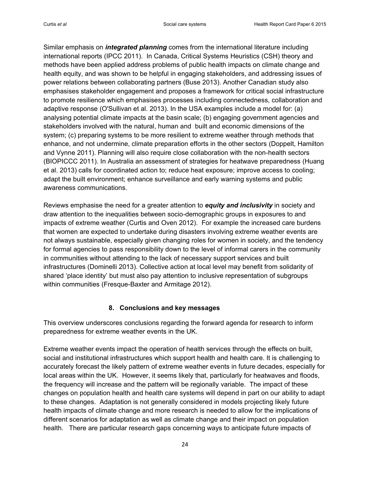Similar emphasis on *integrated planning* comes from the international literature including international reports (IPCC 2011). In Canada, Critical Systems Heuristics (CSH) theory and methods have been applied address problems of public health impacts on climate change and health equity, and was shown to be helpful in engaging stakeholders, and addressing issues of power relations between collaborating partners (Buse 2013). Another Canadian study also emphasises stakeholder engagement and proposes a framework for critical social infrastructure to promote resilience which emphasises processes including connectedness, collaboration and adaptive response (O'Sullivan et al. 2013). In the USA examples include a model for: (a) analysing potential climate impacts at the basin scale; (b) engaging government agencies and stakeholders involved with the natural, human and built and economic dimensions of the system; (c) preparing systems to be more resilient to extreme weather through methods that enhance, and not undermine, climate preparation efforts in the other sectors (Doppelt, Hamilton and Vynne 2011). Planning will also require close collaboration with the non-health sectors (BIOPICCC 2011). In Australia an assessment of strategies for heatwave preparedness (Huang et al. 2013) calls for coordinated action to; reduce heat exposure; improve access to cooling; adapt the built environment; enhance surveillance and early warning systems and public awareness communications.

Reviews emphasise the need for a greater attention to *equity and inclusivity* in society and draw attention to the inequalities between socio-demographic groups in exposures to and impacts of extreme weather (Curtis and Oven 2012). For example the increased care burdens that women are expected to undertake during disasters involving extreme weather events are not always sustainable, especially given changing roles for women in society, and the tendency for formal agencies to pass responsibility down to the level of informal carers in the community in communities without attending to the lack of necessary support services and built infrastructures (Dominelli 2013). Collective action at local level may benefit from solidarity of shared 'place identity' but must also pay attention to inclusive representation of subgroups within communities (Fresque-Baxter and Armitage 2012).

# **8. Conclusions and key messages**

This overview underscores conclusions regarding the forward agenda for research to inform preparedness for extreme weather events in the UK.

Extreme weather events impact the operation of health services through the effects on built, social and institutional infrastructures which support health and health care. It is challenging to accurately forecast the likely pattern of extreme weather events in future decades, especially for local areas within the UK. However, it seems likely that, particularly for heatwaves and floods, the frequency will increase and the pattern will be regionally variable. The impact of these changes on population health and health care systems will depend in part on our ability to adapt to these changes. Adaptation is not generally considered in models projecting likely future health impacts of climate change and more research is needed to allow for the implications of different scenarios for adaptation as well as climate change and their impact on population health. There are particular research gaps concerning ways to anticipate future impacts of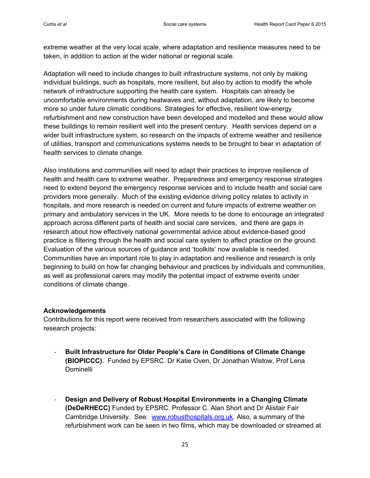extreme weather at the very local scale, where adaptation and resilience measures need to be taken, in addition to action at the wider national or regional scale.

Adaptation will need to include changes to built infrastructure systems, not only by making individual buildings, such as hospitals, more resilient, but also by action to modify the whole network of infrastructure supporting the health care system. Hospitals can already be uncomfortable environments during heatwaves and, without adaptation, are likely to become more so under future climatic conditions. Strategies for effective, resilient low-energy refurbishment and new construction have been developed and modelled and these would allow these buildings to remain resilient well into the present century. Health services depend on a wider built infrastructure system, so research on the impacts of extreme weather and resilience of utilities, transport and communications systems needs to be brought to bear in adaptation of health services to climate change.

Also institutions and communities will need to adapt their practices to improve resilience of health and health care to extreme weather. Preparedness and emergency response strategies need to extend beyond the emergency response services and to include health and social care providers more generally. Much of the existing evidence driving policy relates to activity in hospitals, and more research is needed on current and future impacts of extreme weather on primary and ambulatory services in the UK. More needs to be done to encourage an integrated approach across different parts of health and social care services, and there are gaps in research about how effectively national governmental advice about evidence-based good practice is filtering through the health and social care system to affect practice on the ground. Evaluation of the various sources of guidance and 'toolkits' now available is needed. Communities have an important role to play in adaptation and resilience and research is only beginning to build on how far changing behaviour and practices by individuals and communities, as well as professional carers may modify the potential impact of extreme events under conditions of climate change.

#### **Acknowledgements**

Contributions for this report were received from researchers associated with the following research projects:

- **Built Infrastructure for Older People's Care in Conditions of Climate Change (BIOPICCC)**. Funded by EPSRC. Dr Katie Oven, Dr Jonathan Wistow, Prof Lena Dominelli
- **Design and Delivery of Robust Hospital Environments in a Changing Climate (DeDeRHECC)** Funded by EPSRC. Professor C. Alan Short and Dr Alistair Fair Cambridge University. See: [www.robusthospitals.org.uk.](http://www.robusthospitals.org.uk/) Also, a summary of the refurbishment work can be seen in two films, which may be downloaded or streamed at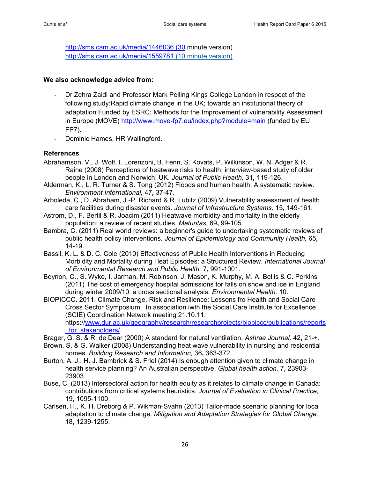[http://sms.cam.ac.uk/media/1446036 \(30](http://sms.cam.ac.uk/media/1446036%20(30) minute version) <http://sms.cam.ac.uk/media/1559781> (10 minute version)

#### **We also acknowledge advice from:**

- Dr Zehra Zaidi and Professor Mark Pelling Kings College London in respect of the following study:Rapid climate change in the UK; towards an institutional theory of adaptation Funded by ESRC; Methods for the Improvement of vulnerability Assessment in Europe (MOVE)<http://www.move-fp7.eu/index.php?module=main> (funded by EU FP7).
- Dominic Hames, HR Wallingford.

#### **References**

- <span id="page-25-0"></span>Abrahamson, V., J. Wolf, I. Lorenzoni, B. Fenn, S. Kovats, P. Wilkinson, W. N. Adger & R. Raine (2008) Perceptions of heatwave risks to health: interview-based study of older people in London and Norwich, UK. *Journal of Public Health,* 31**,** 119-126.
- Alderman, K., L. R. Turner & S. Tong (2012) Floods and human health: A systematic review. *Environment International,* 47**,** 37-47.
- Arboleda, C., D. Abraham, J.-P. Richard & R. Lubitz (2009) Vulnerability assessment of health care facilities during disaster events. *Journal of Infrastructure Systems,* 15**,** 149-161.
- Astrom, D., F. Bertil & R. Joacim (2011) Heatwave morbidity and mortality in the elderly population: a review of recent studies. *Maturitas,* 69**,** 99-105.
- Bambra, C. (2011) Real world reviews: a beginner's guide to undertaking systematic reviews of public health policy interventions. *Journal of Epidemiology and Community Health,* 65**,** 14-19.
- Bassil, K. L. & D. C. Cole (2010) Effectiveness of Public Health Interventions in Reducing Morbidity and Mortality during Heat Episodes: a Structured Review. *International Journal of Environmental Research and Public Health,* 7**,** 991-1001.
- Beynon, C., S. Wyke, I. Jarman, M. Robinson, J. Mason, K. Murphy, M. A. Bellis & C. Perkins (2011) The cost of emergency hospital admissions for falls on snow and ice in England during winter 2009/10: a cross sectional analysis. *Environmental Health,* 10.
- BIOPICCC. 2011. Climate Change, Risk and Resilience: Lessons fro Health and Social Care Cross Sector Symposium. In association iwth the Social Care Institute for Excellence (SCIE) Coordination Network meeting 21.10.11. https:/[/www.dur.ac.uk/geography/research/researchprojects/biopiccc/publications/reports](http://www.dur.ac.uk/geography/research/researchprojects/biopiccc/publications/reports_for_stakeholders/) for stakeholders/
- Brager, G. S. & R. de Dear (2000) A standard for natural ventilation. *Ashrae Journal,* 42**,** 21-+.
- Brown, S. & G. Walker (2008) Understanding heat wave vulnerability in nursing and residential homes. *Building Research and Information,* 36**,** 363-372.
- Burton, A. J., H. J. Bambrick & S. Friel (2014) Is enough attention given to climate change in health service planning? An Australian perspective. *Global health action,* 7**,** 23903- 23903.
- Buse, C. (2013) Intersectoral action for health equity as it relates to climate change in Canada: contributions from critical systems heuristics. *Journal of Evaluation in Clinical Practice,* 19**,** 1095-1100.
- Carlsen, H., K. H. Dreborg & P. Wikman-Svahn (2013) Tailor-made scenario planning for local adaptation to climate change. *Mitigation and Adaptation Strategies for Global Change,* 18**,** 1239-1255.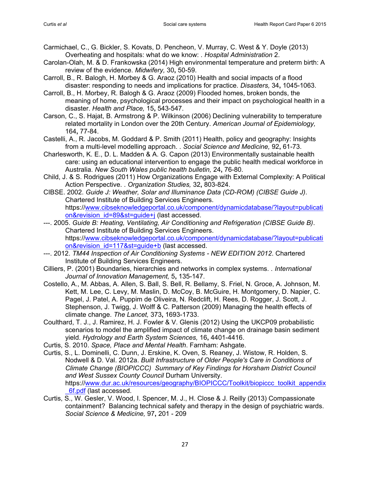- Carmichael, C., G. Bickler, S. Kovats, D. Pencheon, V. Murray, C. West & Y. Doyle (2013) Overheating and hospitals: what do we know: . *Hospital Administration* 2.
- Carolan-Olah, M. & D. Frankowska (2014) High environmental temperature and preterm birth: A review of the evidence. *Midwifery,* 30**,** 50-59.
- Carroll, B., R. Balogh, H. Morbey & G. Araoz (2010) Health and social impacts of a flood disaster: responding to needs and implications for practice. *Disasters,* 34**,** 1045-1063.
- Carroll, B., H. Morbey, R. Balogh & G. Araoz (2009) Flooded homes, broken bonds, the meaning of home, psychological processes and their impact on psychological health in a disaster. *Health and Place,* 15**,** 543-547.
- Carson, C., S. Hajat, B. Armstrong & P. Wilkinson (2006) Declining vulnerability to temperature related mortality in London over the 20th Century. *American Journal of Epidemiology,* 164**,** 77-84.
- Castelli, A., R. Jacobs, M. Goddard & P. Smith (2011) Health, policy and geography: Insights from a multi-level modelling approach. . *Social Science and Medicine,* 92**,** 61-73.
- Charlesworth, K. E., D. L. Madden & A. G. Capon (2013) Environmentally sustainable health care: using an educational intervention to engage the public health medical workforce in Australia. *New South Wales public health bulletin,* 24**,** 76-80.
- Child, J. & S. Rodrigues (2011) How Organizations Engage with External Complexity: A Political Action Perspective. . *Organization Studies,* 32**,** 803-824.
- CIBSE. 2002. *Guide J: Weather, Solar and Illuminance Data (CD-ROM) (CIBSE Guide J)*. Chartered Institute of Building Services Engineers. https:/[/www.cibseknowledgeportal.co.uk/component/dynamicdatabase/?layout=publicati](http://www.cibseknowledgeportal.co.uk/component/dynamicdatabase/?layout=publication&revision_id=89&st=guide+j) [on&revision\\_id=89&st=guide+j](http://www.cibseknowledgeportal.co.uk/component/dynamicdatabase/?layout=publication&revision_id=89&st=guide+j) (last accessed.
- ---. 2005. *Guide B: Heating, Ventilating, Air Conditioning and Refrigeration (CIBSE Guide B)*. Chartered Institute of Building Services Engineers. https:/[/www.cibseknowledgeportal.co.uk/component/dynamicdatabase/?layout=publicati](http://www.cibseknowledgeportal.co.uk/component/dynamicdatabase/?layout=publication&revision_id=117&st=guide+b) [on&revision\\_id=117&st=guide+b](http://www.cibseknowledgeportal.co.uk/component/dynamicdatabase/?layout=publication&revision_id=117&st=guide+b) (last accessed.
- ---. 2012. *TM44 Inspection of Air Conditioning Systems - NEW EDITION 2012*. Chartered Institute of Building Services Engineers.
- Cilliers, P. (2001) Boundaries, hierarchies and networks in complex systems. . *International Journal of Innovation Management,* 5**,** 135-147.
- Costello, A., M. Abbas, A. Allen, S. Ball, S. Bell, R. Bellamy, S. Friel, N. Groce, A. Johnson, M. Kett, M. Lee, C. Levy, M. Maslin, D. McCoy, B. McGuire, H. Montgomery, D. Napier, C. Pagel, J. Patel, A. Puppim de Oliveira, N. Redclift, H. Rees, D. Rogger, J. Scott, J. Stephenson, J. Twigg, J. Wolff & C. Patterson (2009) Managing the health effects of climate change. *The Lancet,* 373**,** 1693-1733.
- Coulthard, T. J., J. Ramirez, H. J. Fowler & V. Glenis (2012) Using the UKCP09 probabilistic scenarios to model the amplified impact of climate change on drainage basin sediment yield. *Hydrology and Earth System Sciences,* 16**,** 4401-4416.
- Curtis, S. 2010. *Space, Place and Mental Health*. Farnham: Ashgate.
- Curtis, S., L. Dominelli, C. Dunn, J. Erskine, K. Oven, S. Reaney, J. Wistow, R. Holden, S. Nodwell & D. Val. 2012a. *Built Infrastructure of Older People's Care in Conditions of Climate Change (BIOPICCC) Summary of Key Findings for Horsham District Council and West Sussex County Council* Durham University. https:/[/www.dur.ac.uk/resources/geography/BIOPICCC/Toolkit/biopiccc\\_toolkit\\_appendix](http://www.dur.ac.uk/resources/geography/BIOPICCC/Toolkit/biopiccc_toolkit_appendix_6f.pdf) [\\_6f.pdf](http://www.dur.ac.uk/resources/geography/BIOPICCC/Toolkit/biopiccc_toolkit_appendix_6f.pdf) (last accessed.
- Curtis, S., W. Gesler, V. Wood, I. Spencer, M. J., H. Close & J. Reilly (2013) Compassionate containment? Balancing technical safety and therapy in the design of psychiatric wards. *Social Science & Medicine,* 97**,** 201 - 209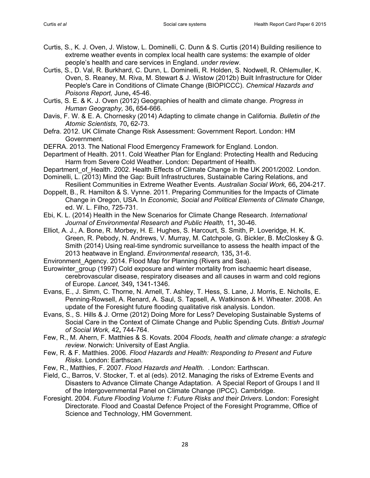- Curtis, S., K. J. Oven, J. Wistow, L. Dominelli, C. Dunn & S. Curtis (2014) Building resilience to extreme weather events in complex local health care systems: the example of older people's health and care services in England. *under review*.
- Curtis, S., D. Val, R. Burkhard, C. Dunn, L. Dominelli, R. Holden, S. Nodwell, R. Ohlemuller, K. Oven, S. Reaney, M. Riva, M. Stewart & J. Wistow (2012b) Built Infrastructure for Older People's Care in Conditions of Climate Change (BIOPICCC). *Chemical Hazards and Poisons Report,* June**,** 45-46.
- Curtis, S. E. & K. J. Oven (2012) Geographies of health and climate change. *Progress in Human Geography,* 36**,** 654-666.
- Davis, F. W. & E. A. Chornesky (2014) Adapting to climate change in California. *Bulletin of the Atomic Scientists,* 70**,** 62-73.
- Defra. 2012. UK Climate Change Risk Assessment: Government Report. London: HM Government.
- DEFRA. 2013. The National Flood Emergency Framework for England. London.
- Department of Health. 2011. Cold Weather Plan for England: Protecting Health and Reducing Harm from Severe Cold Weather. London: Department of Health.
- Department of Health. 2002. Health Effects of Climate Change in the UK 2001/2002. London.
- Dominelli, L. (2013) Mind the Gap: Built Infrastructures, Sustainable Caring Relations, and Resilient Communities in Extreme Weather Events. *Australian Social Work,* 66**,** 204-217.
- Doppelt, B., R. Hamilton & S. Vynne. 2011. Preparing Communities for the Impacts of Climate Change in Oregon, USA. In *Economic, Social and Political Elements of Climate Change,*  ed. W. L. Filho, 725-731.
- Ebi, K. L. (2014) Health in the New Scenarios for Climate Change Research. *International Journal of Environmental Research and Public Health,* 11**,** 30-46.
- Elliot, A. J., A. Bone, R. Morbey, H. E. Hughes, S. Harcourt, S. Smith, P. Loveridge, H. K. Green, R. Pebody, N. Andrews, V. Murray, M. Catchpole, G. Bickler, B. McCloskey & G. Smith (2014) Using real-time syndromic surveillance to assess the health impact of the 2013 heatwave in England. *Environmental research,* 135**,** 31-6.
- Environment Agency. 2014. Flood Map for Planning (Rivers and Sea).
- Eurowinter group (1997) Cold exposure and winter mortality from ischaemic heart disease, cerebrovascular disease, respiratory diseases and all causes in warm and cold regions of Europe. *Lancet,* 349**,** 1341-1346.
- Evans, E., J. Simm, C. Thorne, N. Arnell, T. Ashley, T. Hess, S. Lane, J. Morris, E. Nicholls, E. Penning-Rowsell, A. Renard, A. Saul, S. Tapsell, A. Watkinson & H. Wheater. 2008. An update of the Foresight future flooding qualitative risk analysis. London.
- Evans, S., S. Hills & J. Orme (2012) Doing More for Less? Developing Sustainable Systems of Social Care in the Context of Climate Change and Public Spending Cuts. *British Journal of Social Work,* 42**,** 744-764.
- Few, R., M. Ahern, F. Matthies & S. Kovats. 2004 *Floods, health and climate change: a strategic review*. Norwich: University of East Anglia.
- Few, R. & F. Matthies. 2006. *Flood Hazards and Health: Responding to Present and Future Risks*. London: Earthscan.
- Few, R., Matthies, F. 2007. *Flood Hazards and Health.* . London: Earthscan.
- Field, C., Barros, V. Stocker, T. et al (eds). 2012. Managing the risks of Extreme Events and Disasters to Advance Climate Change Adaptation. A Special Report of Groups I and II of the Intergovernmental Panel on Climate Change (IPCC). Cambridge.
- Foresight. 2004. *Future Flooding Volume 1: Future Risks and their Drivers*. London: Foresight Directorate. Flood and Coastal Defence Project of the Foresight Programme, Office of Science and Technology, HM Government.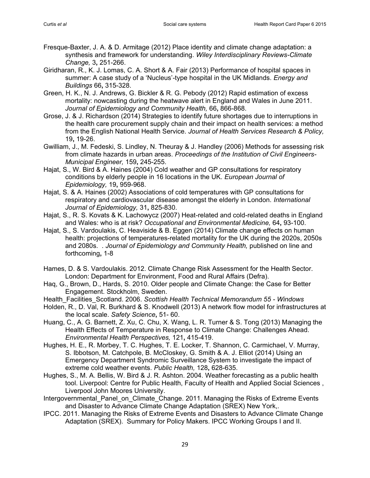- Fresque-Baxter, J. A. & D. Armitage (2012) Place identity and climate change adaptation: a synthesis and framework for understanding. *Wiley Interdisciplinary Reviews-Climate Change,* 3**,** 251-266.
- Giridharan, R., K. J. Lomas, C. A. Short & A. Fair (2013) Performance of hospital spaces in summer: A case study of a 'Nucleus'-type hospital in the UK Midlands. *Energy and Buildings* 66**,** 315-328.
- Green, H. K., N. J. Andrews, G. Bickler & R. G. Pebody (2012) Rapid estimation of excess mortality: nowcasting during the heatwave alert in England and Wales in June 2011. *Journal of Epidemiology and Community Health,* 66**,** 866-868.
- Grose, J. & J. Richardson (2014) Strategies to identify future shortages due to interruptions in the health care procurement supply chain and their impact on health services: a method from the English National Health Service. *Journal of Health Services Research & Policy,* 19**,** 19-26.
- Gwilliam, J., M. Fedeski, S. Lindley, N. Theuray & J. Handley (2006) Methods for assessing risk from climate hazards in urban areas. *Proceedings of the Institution of Civil Engineers-Municipal Engineer,* 159**,** 245-255.
- Hajat, S., W. Bird & A. Haines (2004) Cold weather and GP consultations for respiratory conditions by elderly people in 16 locations in the UK. *European Journal of Epidemiology,* 19**,** 959-968.
- Hajat, S. & A. Haines (2002) Associations of cold temperatures with GP consultations for respiratory and cardiovascular disease amongst the elderly in London. *International Journal of Epidemiology,* 31**,** 825-830.
- Hajat, S., R. S. Kovats & K. Lachowycz (2007) Heat-related and cold-related deaths in England and Wales: who is at risk? *Occupational and Environmental Medicine,* 64**,** 93-100.
- Hajat, S., S. Vardoulakis, C. Heaviside & B. Eggen (2014) Climate change effects on human health: projections of temperatures-related mortality for the UK during the 2020s, 2050s and 2080s. . *Journal of Epidemiology and Community Health,* published on line and forthcoming**,** 1-8
- Hames, D. & S. Vardoulakis. 2012. Climate Change Risk Assessment for the Health Sector. London: Department for Environment, Food and Rural Affairs (Defra).
- Haq, G., Brown, D., Hards, S. 2010. Older people and Climate Change: the Case for Better Engagement. Stockholm, Sweden.
- Health\_Facilities\_Scotland. 2006. *Scottish Health Technical Memorandum 55 - Windows*
- Holden, R., D. Val, R. Burkhard & S. Knodwell (2013) A network flow model for infrastructures at the local scale. *Safety Science***,** 51- 60.
- Huang, C., A. G. Barnett, Z. Xu, C. Chu, X. Wang, L. R. Turner & S. Tong (2013) Managing the Health Effects of Temperature in Response to Climate Change: Challenges Ahead. *Environmental Health Perspectives,* 121**,** 415-419.
- Hughes, H. E., R. Morbey, T. C. Hughes, T. E. Locker, T. Shannon, C. Carmichael, V. Murray, S. Ibbotson, M. Catchpole, B. McCloskey, G. Smith & A. J. Elliot (2014) Using an Emergency Department Syndromic Surveillance System to investigate the impact of extreme cold weather events. *Public Health,* 128**,** 628-635.
- Hughes, S., M. A. Bellis, W. Bird & J. R. Ashton. 2004. Weather forecasting as a public health tool. Liverpool: Centre for Public Health, Faculty of Health and Applied Social Sciences , Liverpool John Moores University.
- Intergovernmental Panel on Climate Change. 2011. Managing the Risks of Extreme Events and Disaster to Advance Climate Change Adaptation (SREX) New York,.
- IPCC. 2011. Managing the Risks of Extreme Events and Disasters to Advance Climate Change Adaptation (SREX). Summary for Policy Makers. IPCC Working Groups I and II.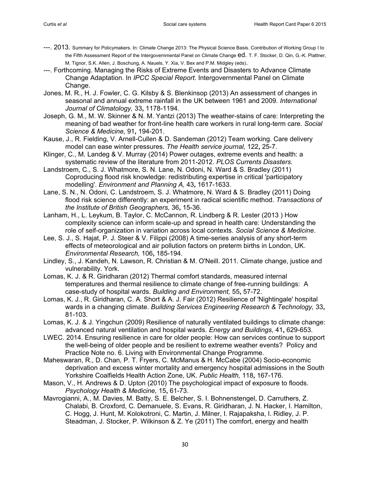- ---. 2013. Summary for Policymakers. In: Climate Change 2013: The Physical Science Basis. Contribution of Working Group I to the Fifth Assessment Report of the Intergovernmental Panel on Climate Change ed. T. F. Stocker, D. Qin, G.-K. Plattner, M. Tignor, S.K. Allen, J. Boschung, A. Nauels, Y. Xia, V. Bex and P.M. Midgley (eds).
- ---. Forthcoming. Managing the Risks of Extreme Events and Disasters to Advance Climate Change Adaptation. In *IPCC Special Report*. Intergovernmental Panel on Climate Change.
- Jones, M. R., H. J. Fowler, C. G. Kilsby & S. Blenkinsop (2013) An assessment of changes in seasonal and annual extreme rainfall in the UK between 1961 and 2009. *International Journal of Climatology,* 33**,** 1178-1194.
- Joseph, G. M., M. W. Skinner & N. M. Yantzi (2013) The weather-stains of care: Interpreting the meaning of bad weather for front-line health care workers in rural long-term care. *Social Science & Medicine,* 91**,** 194-201.
- Kause, J., R. Fielding, V. Arnell-Cullen & D. Sandeman (2012) Team working. Care delivery model can ease winter pressures. *The Health service journal,* 122**,** 25-7.
- Klinger, C., M. Landeg & V. Murray (2014) Power outages, extreme events and health: a systematic review of the literature from 2011-2012. *PLOS Currents Disasters.*
- Landstroem, C., S. J. Whatmore, S. N. Lane, N. Odoni, N. Ward & S. Bradley (2011) Coproducing flood risk knowledge: redistributing expertise in critical 'participatory modelling'. *Environment and Planning A,* 43**,** 1617-1633.
- Lane, S. N., N. Odoni, C. Landstroem, S. J. Whatmore, N. Ward & S. Bradley (2011) Doing flood risk science differently: an experiment in radical scientific method. *Transactions of the Institute of British Geographers,* 36**,** 15-36.
- Lanham, H., L. Leykum, B. Taylor, C. McCannon, R. Lindberg & R. Lester (2013 ) How complexity science can inform scale-up and spread in health care: Understanding the role of self-organization in variation across local contexts. *Social Science & Medicine*.
- Lee, S. J., S. Hajat, P. J. Steer & V. Filippi (2008) A time-series analysis of any short-term effects of meteorological and air pollution factors on preterm births in London, UK. *Environmental Research,* 106**,** 185-194.
- Lindley, S., J. Kandeh, N. Lawson, R. Christian & M. O'Neill. 2011. Climate change, justice and vulnerability. York.
- Lomas, K. J. & R. Giridharan (2012) Thermal comfort standards, measured internal temperatures and thermal resilience to climate change of free-running buildings: A case-study of hospital wards. *Building and Environment,* 55**,** 57-72.
- Lomas, K. J., R. Giridharan, C. A. Short & A. J. Fair (2012) Resilience of 'Nightingale' hospital wards in a changing climate. *Building Services Engineering Research & Technology,* 33**,** 81-103.
- Lomas, K. J. & J. Yingchun (2009) Resilience of naturally ventilated buildings to climate change: advanced natural ventilation and hospital wards. *Energy and Buildings,* 41**,** 629-653.
- LWEC. 2014. Ensuring resilience in care for older people: How can services continue to support the well-being of older people and be resilient to extreme weather events? Policy and Practice Note no. 6. Living with Environmental Change Programme.
- Maheswaran, R., D. Chan, P. T. Fryers, C. McManus & H. McCabe (2004) Socio-economic deprivation and excess winter mortality and emergency hospital admissions in the South Yorkshire Coalfields Health Action Zone, UK. *Public Health,* 118**,** 167-176.
- Mason, V., H. Andrews & D. Upton (2010) The psychological impact of exposure to floods. *Psychology Health & Medicine,* 15**,** 61-73.
- Mavrogianni, A., M. Davies, M. Batty, S. E. Belcher, S. I. Bohnenstengel, D. Carruthers, Z. Chalabi, B. Croxford, C. Demanuele, S. Evans, R. Giridharan, J. N. Hacker, I. Hamilton, C. Hogg, J. Hunt, M. Kolokotroni, C. Martin, J. Milner, I. Rajapaksha, I. Ridley, J. P. Steadman, J. Stocker, P. Wilkinson & Z. Ye (2011) The comfort, energy and health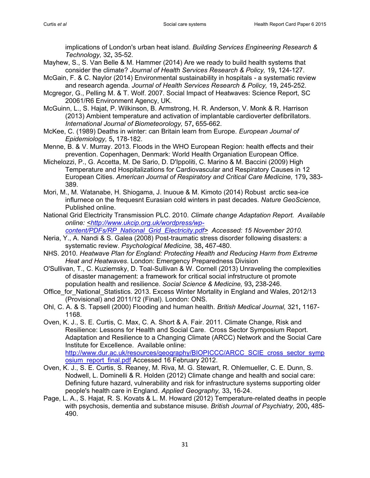implications of London's urban heat island. *Building Services Engineering Research & Technology,* 32**,** 35-52.

- Mayhew, S., S. Van Belle & M. Hammer (2014) Are we ready to build health systems that consider the climate? *Journal of Health Services Research & Policy,* 19**,** 124-127.
- McGain, F. & C. Naylor (2014) Environmental sustainability in hospitals a systematic review and research agenda. *Journal of Health Services Research & Policy,* 19**,** 245-252.
- Mcgregor, G., Pelling M. & T. Wolf. 2007. Social Impact of Heatwaves: Science Report, SC 20061/R6 Environment Agency, UK.
- McGuinn, L., S. Hajat, P. Wilkinson, B. Armstrong, H. R. Anderson, V. Monk & R. Harrison (2013) Ambient temperature and activation of implantable cardioverter defibrillators. *International Journal of Biometeorology,* 57**,** 655-662.
- McKee, C. (1989) Deaths in winter: can Britain learn from Europe. *European Journal of Epidemiology,* 5**,** 178-182.
- Menne, B. & V. Murray. 2013. Floods in the WHO European Region: health effects and their prevention. Copenhagen, Denmark: World Health Organiation European Office.
- Michelozzi, P., G. Accetta, M. De Sario, D. D'Ippoliti, C. Marino & M. Baccini (2009) High Temperature and Hospitalizations for Cardiovascular and Respiratory Causes in 12 European Cities. *American Journal of Respiratory and Critical Care Medicine,* 179**,** 383- 389.
- Mori, M., M. Watanabe, H. Shiogama, J. Inuoue & M. Kimoto (2014) Robust arctic sea-ice influrnece on the frequesnt Eurasian cold winters in past decades. *Nature GeoScience,* Published online.
- National Grid Electricity Transmission PLC. 2010. *Climate change Adaptation Report. Available online: [<http://www.ukcip.org.uk/wordpress/wp](http://www.ukcip.org.uk/wordpress/wp-content/PDFs/RP_National_Grid_Electricity.pdf)*
	- *[content/PDFs/RP\\_National\\_Grid\\_Electricity.pdf>](http://www.ukcip.org.uk/wordpress/wp-content/PDFs/RP_National_Grid_Electricity.pdf) Accessed: 15 November 2010.*
- Neria, Y., A. Nandi & S. Galea (2008) Post-traumatic stress disorder following disasters: a systematic review. *Psychological Medicine,* 38**,** 467-480.
- NHS. 2010. *Heatwave Plan for England: Protecting Health and Reducing Harm from Extreme Heat and Heatwaves*. London: Emergency Preparedness Division
- O'Sullivan, T., C. Kuziemsky, D. Toal-Sullivan & W. Cornell (2013) Unraveling the complexities of disaster management: a framework for critical social infrstructure ot promote population health and resilience. *Social Science & Medicine,* 93**,** 238-246.
- Office for National Statistics. 2013. Excess Winter Mortality in England and Wales, 2012/13 (Provisional) and 2011/12 (Final). London: ONS.
- Ohl, C. A. & S. Tapsell (2000) Flooding and human health. *British Medical Journal,* 321**,** 1167- 1168.
- Oven, K. J., S. E. Curtis, C. Max, C. A. Short & A. Fair. 2011. Climate Change, Risk and Resilience: Lessons for Health and Social Care. Cross Sector Symposium Report. Adaptation and Resilience to a Changing Climate (ARCC) Network and the Social Care Institute for Excellence. Available online: [http://www.dur.ac.uk/resources/geography/BIOPICCC/ARCC\\_SCIE\\_cross\\_sector\\_symp](http://www.dur.ac.uk/resources/geography/BIOPICCC/ARCC_SCIE_cross_sector_symposium_report_final.pdf) [osium\\_report\\_final.pdf](http://www.dur.ac.uk/resources/geography/BIOPICCC/ARCC_SCIE_cross_sector_symposium_report_final.pdf) Accessed 16 February 2012.
- Oven, K. J., S. E. Curtis, S. Reaney, M. Riva, M. G. Stewart, R. Ohlemueller, C. E. Dunn, S. Nodwell, L. Dominelli & R. Holden (2012) Climate change and health and social care: Defining future hazard, vulnerability and risk for infrastructure systems supporting older people's health care in England. *Applied Geography,* 33**,** 16-24.
- Page, L. A., S. Hajat, R. S. Kovats & L. M. Howard (2012) Temperature-related deaths in people with psychosis, dementia and substance misuse. *British Journal of Psychiatry,* 200**,** 485- 490.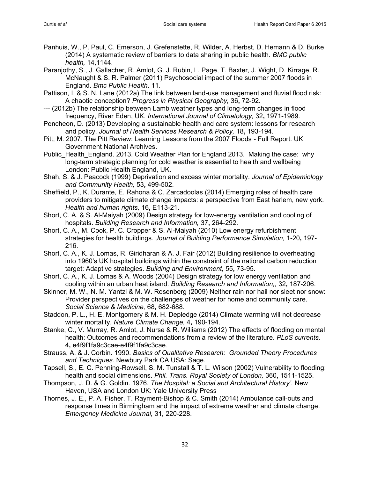Panhuis, W., P. Paul, C. Emerson, J. Grefenstette, R. Wilder, A. Herbst, D. Hemann & D. Burke (2014) A systematic review of barriers to data sharing in public health. *BMC public health,* 14,1144.

Paranjothy, S., J. Gallacher, R. Amlot, G. J. Rubin, L. Page, T. Baxter, J. Wight, D. Kirrage, R. McNaught & S. R. Palmer (2011) Psychosocial impact of the summer 2007 floods in England. *Bmc Public Health,* 11.

- Pattison, I. & S. N. Lane (2012a) The link between land-use management and fluvial flood risk: A chaotic conception? *Progress in Physical Geography,* 36**,** 72-92.
- --- (2012b) The relationship between Lamb weather types and long-term changes in flood frequency, River Eden, UK. *International Journal of Climatology,* 32**,** 1971-1989.
- Pencheon, D. (2013) Developing a sustainable health and care system: lessons for research and policy. *Journal of Health Services Research & Policy,* 18**,** 193-194.
- Pitt, M. 2007. The Pitt Review: Learning Lessons from the 2007 Floods Full Report. UK Government National Archives.
- Public Health England. 2013. Cold Weather Plan for England 2013. Making the case: why long-term strategic planning for cold weather is essential to health and wellbeing London: Public Health England, UK.
- Shah, S. & J. Peacock (1999) Deprivation and excess winter mortality. *Journal of Epidemiology and Community Health,* 53**,** 499-502.
- Sheffield, P., K. Durante, E. Rahona & C. Zarcadoolas (2014) Emerging roles of health care providers to mitigate climate change impacts: a perspective from East harlem, new york. *Health and human rights,* 16**,** E113-21.
- Short, C. A. & S. Al-Maiyah (2009) Design strategy for low-energy ventilation and cooling of hospitals. *Building Research and Information,* 37**,** 264-292.
- Short, C. A., M. Cook, P. C. Cropper & S. Al-Maiyah (2010) Low energy refurbishment strategies for health buildings. *Journal of Building Performance Simulation,* 1-20**,** 197- 216.
- Short, C. A., K. J. Lomas, R. Giridharan & A. J. Fair (2012) Building resilience to overheating into 1960's UK hospital buildings within the constraint of the national carbon reduction target: Adaptive strategies. *Building and Environment,* 55**,** 73-95.
- Short, C. A., K. J. Lomas & A. Woods (2004) Design strategy for low energy ventilation and cooling within an urban heat island. *Building Research and Information,,* 32**,** 187-206.
- Skinner, M. W., N. M. Yantzi & M. W. Rosenberg (2009) Neither rain nor hail nor sleet nor snow: Provider perspectives on the challenges of weather for home and community care. *Social Science & Medicine,* 68**,** 682-688.
- Staddon, P. L., H. E. Montgomery & M. H. Depledge (2014) Climate warming will not decrease winter mortality. *Nature Climate Change,* 4**,** 190-194.
- Stanke, C., V. Murray, R. Amlot, J. Nurse & R. Williams (2012) The effects of flooding on mental health: Outcomes and recommendations from a review of the literature. *PLoS currents,* 4**,** e4f9f1fa9c3cae-e4f9f1fa9c3cae.
- Strauss, A. & J. Corbin. 1990. *Basics of Qualitative Research: Grounded Theory Procedures and Techniques*. Newbury Park CA USA: Sage.
- Tapsell, S., E. C. Penning-Rowsell, S. M. Tunstall & T. L. Wilson (2002) Vulnerability to flooding: health and social dimensions. *Phil. Trans. Royal Society of London,* 360**,** 1511-1525.
- Thompson, J. D. & G. Goldin. 1976. *The Hospital: a Social and Architectural History'*. New Haven, USA and London UK: Yale University Press
- Thornes, J. E., P. A. Fisher, T. Rayment-Bishop & C. Smith (2014) Ambulance call-outs and response times in Birmingham and the impact of extreme weather and climate change. *Emergency Medicine Journal,* 31**,** 220-228.